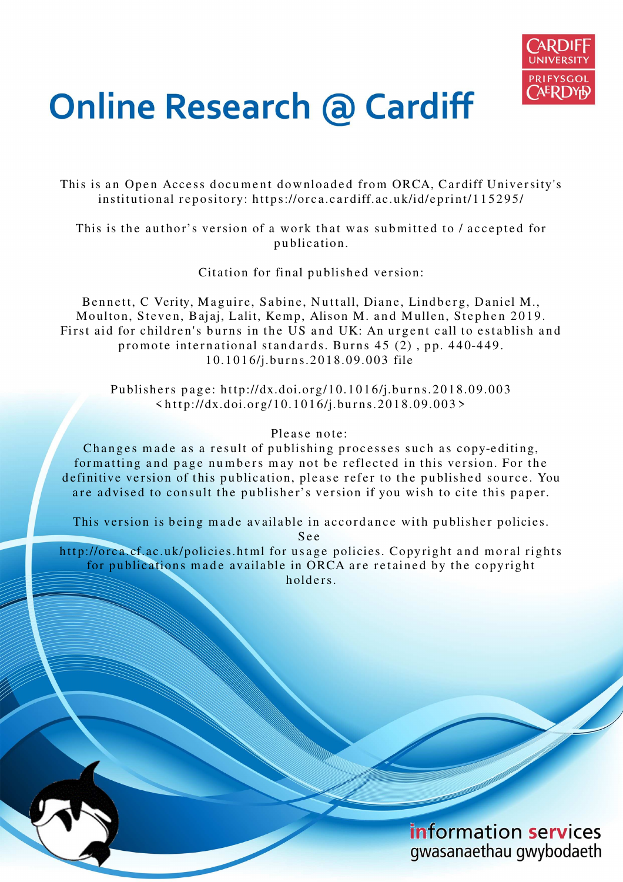

# **Online Research @ Cardiff**

This is an Open Access document downloaded from ORCA, Cardiff University's institutional repository: https://orca.cardiff.ac.uk/id/eprint/115295/

This is the author's version of a work that was submitted to / accepted for p u blication.

Citation for final published version:

Bennett, C Verity, Maguire, Sabine, Nuttall, Diane, Lindberg, Daniel M., Moulton, Steven, Bajaj, Lalit, Kemp, Alison M. and Mullen, Stephen 2019. First aid for children's burns in the US and UK: An urgent call to establish and promote international standards. Burns  $45(2)$ , pp.  $440-449$ . 1 0.1 0 1 6/j.bu r n s.20 1 8.0 9.0 03 file

Publishers page: http://dx.doi.org/10.1016/j.burns.2018.09.003  $\langle \text{http://dx.doi.org/10.1016/j.burns.2018.09.003>}$ 

# Please note:

Changes made as a result of publishing processes such as copy-editing, formatting and page numbers may not be reflected in this version. For the definitive version of this publication, please refer to the published source. You are advised to consult the publisher's version if you wish to cite this paper.

This version is being made available in accordance with publisher policies.

S e e

http://orca.cf.ac.uk/policies.html for usage policies. Copyright and moral rights for publications made available in ORCA are retained by the copyright holders.

> information services gwasanaethau gwybodaeth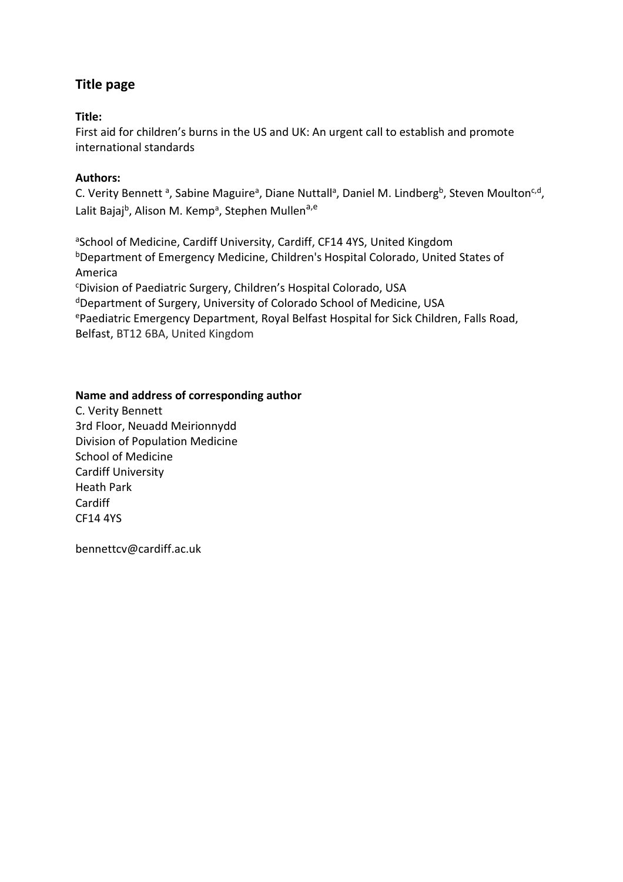# **Title page**

# **Title:**

First aid for children's burns in the US and UK: An urgent call to establish and promote international standards

# **Authors:**

C. Verity Bennett<sup>a</sup>, Sabine Maguire<sup>a</sup>, Diane Nuttall<sup>a</sup>, Daniel M. Lindberg<sup>b</sup>, Steven Moulton<sup>c,d</sup>, Lalit Bajaj<sup>b</sup>, Alison M. Kemp<sup>a</sup>, Stephen Mullen<sup>a,e</sup>

aSchool of Medicine, Cardiff University, Cardiff, CF14 4YS, United Kingdom <sup>b</sup>Department of Emergency Medicine, Children's Hospital Colorado, United States of America <sup>c</sup>Division of Paediatric Surgery, Children's Hospital Colorado, USA <sup>d</sup>Department of Surgery, University of Colorado School of Medicine, USA

<sup>e</sup>Paediatric Emergency Department, Royal Belfast Hospital for Sick Children, Falls Road, Belfast, BT12 6BA, United Kingdom

# **Name and address of corresponding author**

C. Verity Bennett 3rd Floor, Neuadd Meirionnydd Division of Population Medicine School of Medicine Cardiff University Heath Park Cardiff CF14 4YS

bennettcv@cardiff.ac.uk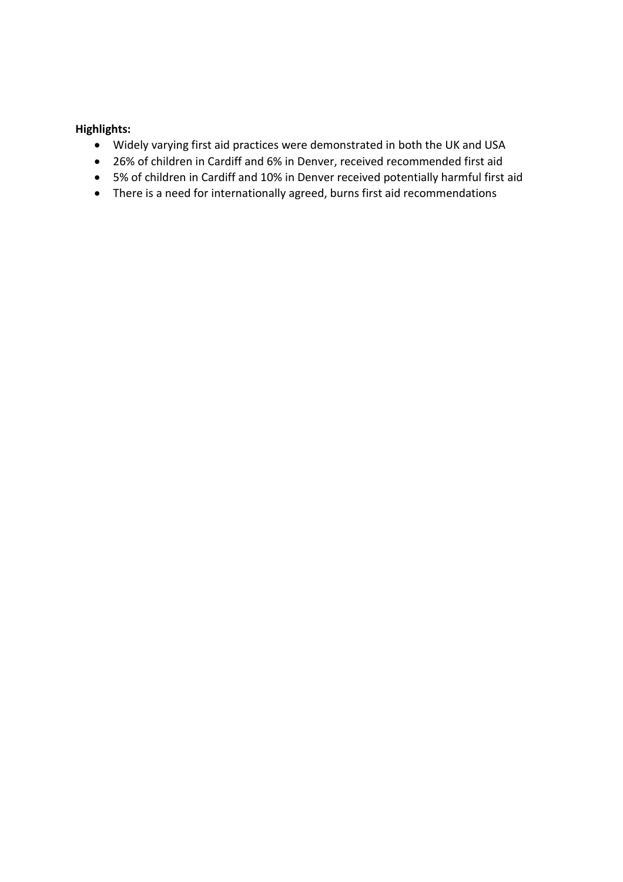## **Highlights:**

- Widely varying first aid practices were demonstrated in both the UK and USA
- 26% of children in Cardiff and 6% in Denver, received recommended first aid
- 5% of children in Cardiff and 10% in Denver received potentially harmful first aid
- There is a need for internationally agreed, burns first aid recommendations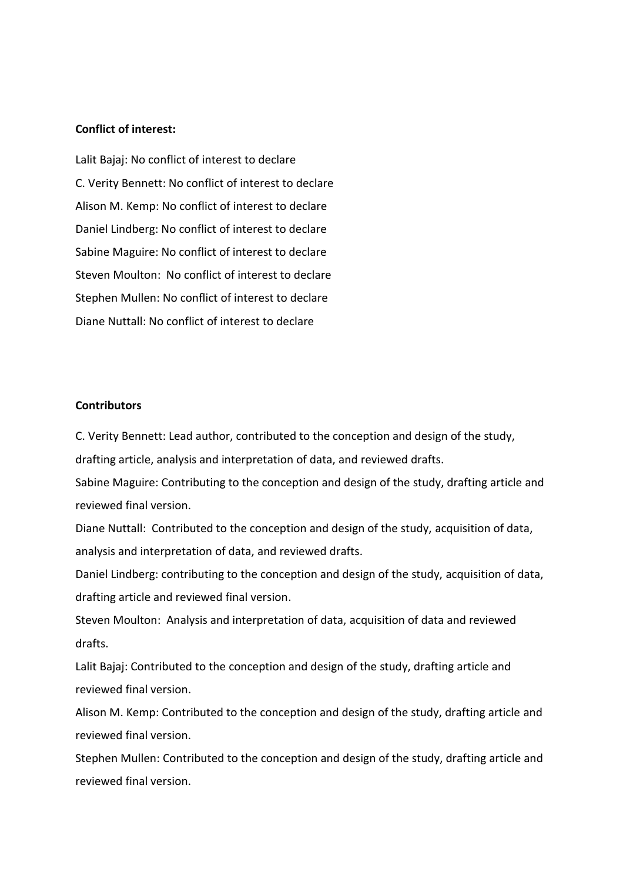### **Conflict of interest:**

Lalit Bajaj: No conflict of interest to declare C. Verity Bennett: No conflict of interest to declare Alison M. Kemp: No conflict of interest to declare Daniel Lindberg: No conflict of interest to declare Sabine Maguire: No conflict of interest to declare Steven Moulton: No conflict of interest to declare Stephen Mullen: No conflict of interest to declare Diane Nuttall: No conflict of interest to declare

## **Contributors**

C. Verity Bennett: Lead author, contributed to the conception and design of the study,

drafting article, analysis and interpretation of data, and reviewed drafts.

Sabine Maguire: Contributing to the conception and design of the study, drafting article and reviewed final version.

Diane Nuttall: Contributed to the conception and design of the study, acquisition of data, analysis and interpretation of data, and reviewed drafts.

Daniel Lindberg: contributing to the conception and design of the study, acquisition of data, drafting article and reviewed final version.

Steven Moulton: Analysis and interpretation of data, acquisition of data and reviewed drafts.

Lalit Bajaj: Contributed to the conception and design of the study, drafting article and reviewed final version.

Alison M. Kemp: Contributed to the conception and design of the study, drafting article and reviewed final version.

Stephen Mullen: Contributed to the conception and design of the study, drafting article and reviewed final version.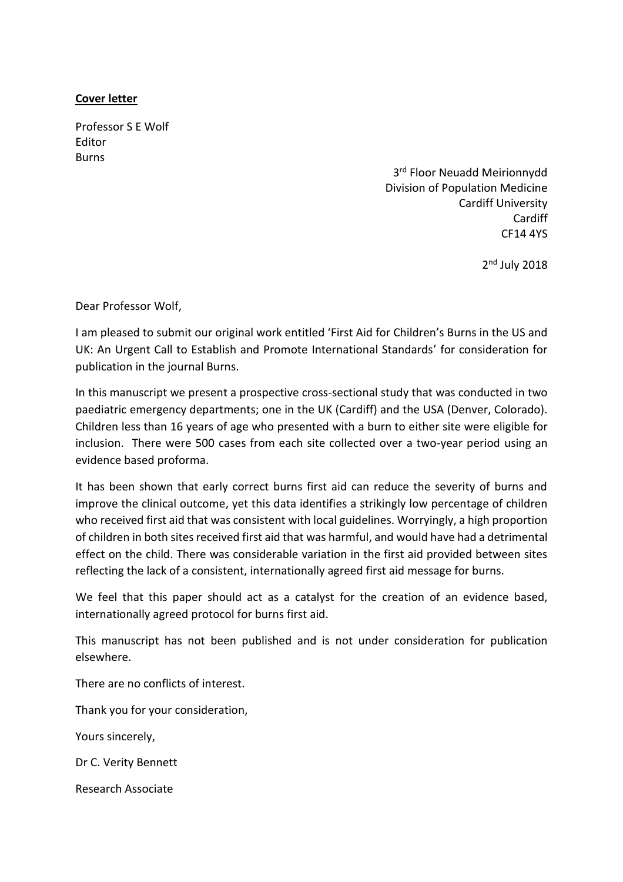## **Cover letter**

Professor S E Wolf Editor Burns

> 3 rd Floor Neuadd Meirionnydd Division of Population Medicine Cardiff University Cardiff CF14 4YS

> > 2<sup>nd</sup> July 2018

Dear Professor Wolf,

I am pleased to submit our original work entitled 'First Aid for Children's Burns in the US and UK: An Urgent Call to Establish and Promote International Standards' for consideration for publication in the journal Burns.

In this manuscript we present a prospective cross-sectional study that was conducted in two paediatric emergency departments; one in the UK (Cardiff) and the USA (Denver, Colorado). Children less than 16 years of age who presented with a burn to either site were eligible for inclusion. There were 500 cases from each site collected over a two-year period using an evidence based proforma.

It has been shown that early correct burns first aid can reduce the severity of burns and improve the clinical outcome, yet this data identifies a strikingly low percentage of children who received first aid that was consistent with local guidelines. Worryingly, a high proportion of children in both sites received first aid that was harmful, and would have had a detrimental effect on the child. There was considerable variation in the first aid provided between sites reflecting the lack of a consistent, internationally agreed first aid message for burns.

We feel that this paper should act as a catalyst for the creation of an evidence based, internationally agreed protocol for burns first aid.

This manuscript has not been published and is not under consideration for publication elsewhere.

There are no conflicts of interest.

Thank you for your consideration,

Yours sincerely,

Dr C. Verity Bennett

Research Associate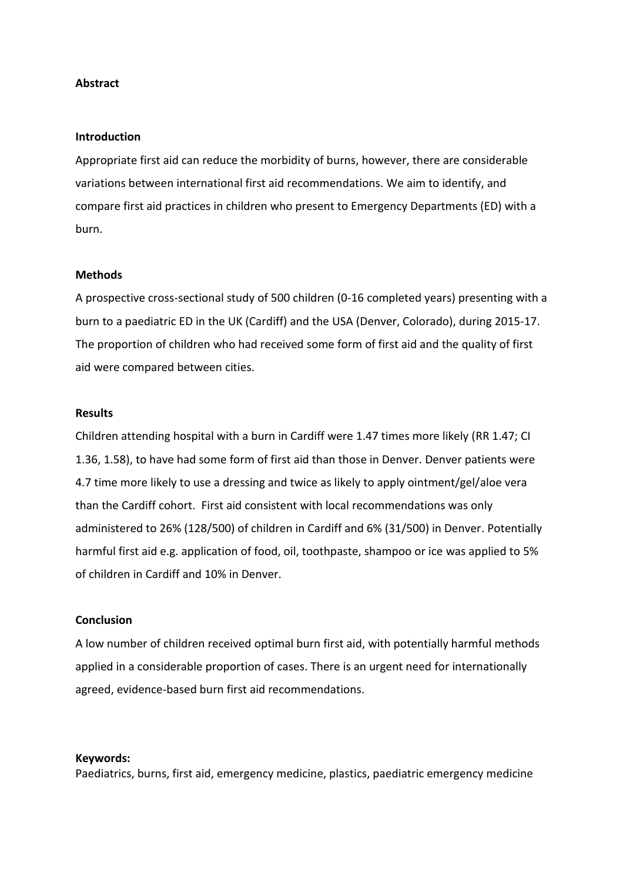### **Abstract**

#### **Introduction**

Appropriate first aid can reduce the morbidity of burns, however, there are considerable variations between international first aid recommendations. We aim to identify, and compare first aid practices in children who present to Emergency Departments (ED) with a burn.

### **Methods**

A prospective cross-sectional study of 500 children (0-16 completed years) presenting with a burn to a paediatric ED in the UK (Cardiff) and the USA (Denver, Colorado), during 2015-17. The proportion of children who had received some form of first aid and the quality of first aid were compared between cities.

#### **Results**

Children attending hospital with a burn in Cardiff were 1.47 times more likely (RR 1.47; CI 1.36, 1.58), to have had some form of first aid than those in Denver. Denver patients were 4.7 time more likely to use a dressing and twice as likely to apply ointment/gel/aloe vera than the Cardiff cohort. First aid consistent with local recommendations was only administered to 26% (128/500) of children in Cardiff and 6% (31/500) in Denver. Potentially harmful first aid e.g. application of food, oil, toothpaste, shampoo or ice was applied to 5% of children in Cardiff and 10% in Denver.

### **Conclusion**

A low number of children received optimal burn first aid, with potentially harmful methods applied in a considerable proportion of cases. There is an urgent need for internationally agreed, evidence-based burn first aid recommendations.

#### **Keywords:**

Paediatrics, burns, first aid, emergency medicine, plastics, paediatric emergency medicine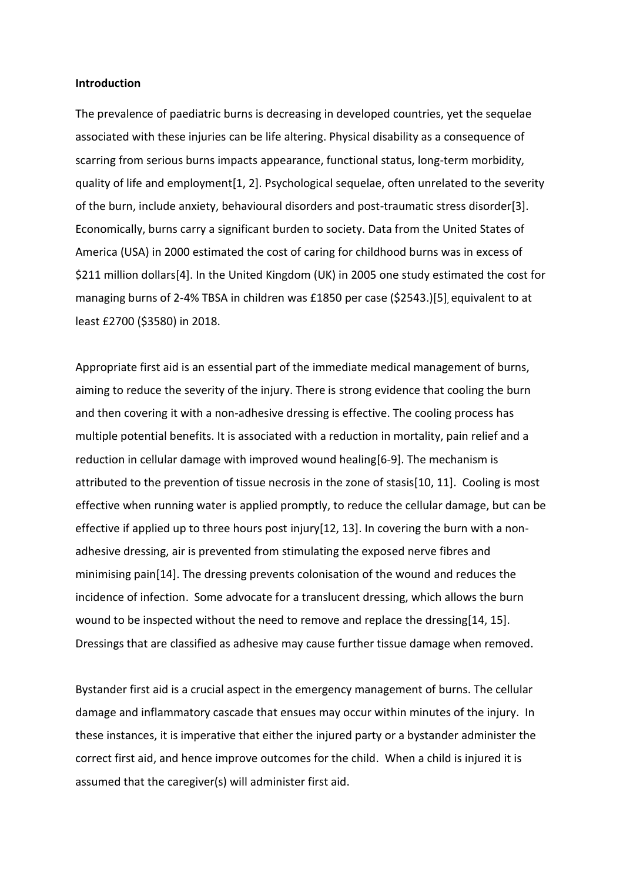#### **Introduction**

The prevalence of paediatric burns is decreasing in developed countries, yet the sequelae associated with these injuries can be life altering. Physical disability as a consequence of scarring from serious burns impacts appearance, functional status, long-term morbidity, quality of life and employment[1, 2]. Psychological sequelae, often unrelated to the severity of the burn, include anxiety, behavioural disorders and post-traumatic stress disorder[3]. Economically, burns carry a significant burden to society. Data from the United States of America (USA) in 2000 estimated the cost of caring for childhood burns was in excess of \$211 million dollars[4]. In the United Kingdom (UK) in 2005 one study estimated the cost for managing burns of 2-4% TBSA in children was £1850 per case (\$2543.)[5], equivalent to at least £2700 (\$3580) in 2018.

Appropriate first aid is an essential part of the immediate medical management of burns, aiming to reduce the severity of the injury. There is strong evidence that cooling the burn and then covering it with a non-adhesive dressing is effective. The cooling process has multiple potential benefits. It is associated with a reduction in mortality, pain relief and a reduction in cellular damage with improved wound healing[6-9]. The mechanism is attributed to the prevention of tissue necrosis in the zone of stasis[10, 11]. Cooling is most effective when running water is applied promptly, to reduce the cellular damage, but can be effective if applied up to three hours post injury[12, 13]. In covering the burn with a nonadhesive dressing, air is prevented from stimulating the exposed nerve fibres and minimising pain[14]. The dressing prevents colonisation of the wound and reduces the incidence of infection. Some advocate for a translucent dressing, which allows the burn wound to be inspected without the need to remove and replace the dressing[14, 15]. Dressings that are classified as adhesive may cause further tissue damage when removed.

Bystander first aid is a crucial aspect in the emergency management of burns. The cellular damage and inflammatory cascade that ensues may occur within minutes of the injury. In these instances, it is imperative that either the injured party or a bystander administer the correct first aid, and hence improve outcomes for the child. When a child is injured it is assumed that the caregiver(s) will administer first aid.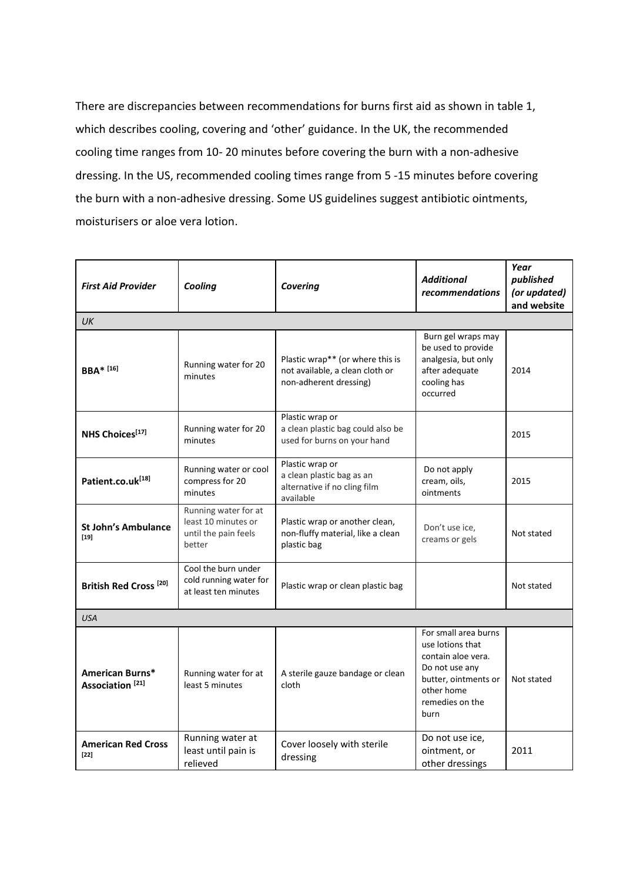There are discrepancies between recommendations for burns first aid as shown in table 1, which describes cooling, covering and 'other' guidance. In the UK, the recommended cooling time ranges from 10- 20 minutes before covering the burn with a non-adhesive dressing. In the US, recommended cooling times range from 5 -15 minutes before covering the burn with a non-adhesive dressing. Some US guidelines suggest antibiotic ointments, moisturisers or aloe vera lotion.

| <b>First Aid Provider</b>                      | Cooling                                                                       | Covering                                                                                      | <b>Additional</b><br>recommendations                                                                                                              | Year<br>published<br>(or updated)<br>and website |
|------------------------------------------------|-------------------------------------------------------------------------------|-----------------------------------------------------------------------------------------------|---------------------------------------------------------------------------------------------------------------------------------------------------|--------------------------------------------------|
| UK                                             |                                                                               |                                                                                               |                                                                                                                                                   |                                                  |
| <b>BBA</b> * [16]                              | Running water for 20<br>minutes                                               | Plastic wrap** (or where this is<br>not available, a clean cloth or<br>non-adherent dressing) | Burn gel wraps may<br>be used to provide<br>analgesia, but only<br>after adequate<br>cooling has<br>occurred                                      | 2014                                             |
| NHS Choices[17]                                | Running water for 20<br>minutes                                               | Plastic wrap or<br>a clean plastic bag could also be<br>used for burns on your hand           |                                                                                                                                                   | 2015                                             |
| Patient.co.uk[18]                              | Running water or cool<br>compress for 20<br>minutes                           | Plastic wrap or<br>a clean plastic bag as an<br>alternative if no cling film<br>available     | Do not apply<br>cream, oils,<br>ointments                                                                                                         | 2015                                             |
| <b>St John's Ambulance</b><br>$[19]$           | Running water for at<br>least 10 minutes or<br>until the pain feels<br>better | Plastic wrap or another clean,<br>non-fluffy material, like a clean<br>plastic bag            | Don't use ice,<br>creams or gels                                                                                                                  | Not stated                                       |
| British Red Cross <sup>[20]</sup>              | Cool the burn under<br>cold running water for<br>at least ten minutes         | Plastic wrap or clean plastic bag                                                             |                                                                                                                                                   | Not stated                                       |
| <b>USA</b>                                     |                                                                               |                                                                                               |                                                                                                                                                   |                                                  |
| American Burns*<br>Association <sup>[21]</sup> | Running water for at<br>least 5 minutes                                       | A sterile gauze bandage or clean<br>cloth                                                     | For small area burns<br>use lotions that<br>contain aloe vera.<br>Do not use any<br>butter, ointments or<br>other home<br>remedies on the<br>burn | Not stated                                       |
| American Red Cross<br>$[22]$                   | Running water at<br>least until pain is<br>relieved                           | Cover loosely with sterile<br>dressing                                                        | Do not use ice,<br>ointment, or<br>other dressings                                                                                                | 2011                                             |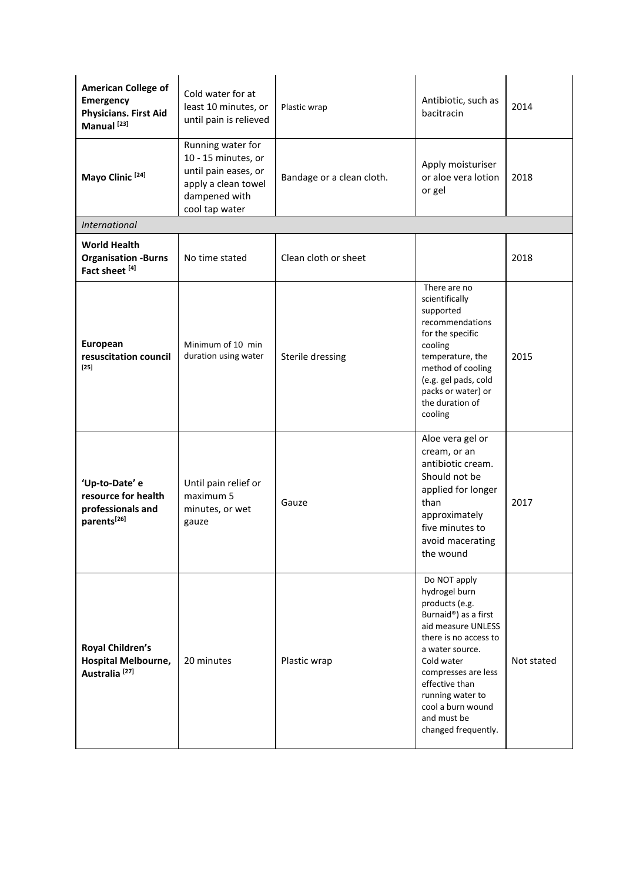| <b>American College of</b><br><b>Emergency</b><br><b>Physicians. First Aid</b><br>Manual <sup>[23]</sup> | Cold water for at<br>least 10 minutes, or<br>until pain is relieved                                                        | Plastic wrap              | Antibiotic, such as<br>bacitracin                                                                                                                                                                                                                                               | 2014       |
|----------------------------------------------------------------------------------------------------------|----------------------------------------------------------------------------------------------------------------------------|---------------------------|---------------------------------------------------------------------------------------------------------------------------------------------------------------------------------------------------------------------------------------------------------------------------------|------------|
| Mayo Clinic <sup>[24]</sup>                                                                              | Running water for<br>10 - 15 minutes, or<br>until pain eases, or<br>apply a clean towel<br>dampened with<br>cool tap water | Bandage or a clean cloth. | Apply moisturiser<br>or aloe vera lotion<br>or gel                                                                                                                                                                                                                              | 2018       |
| <b>International</b>                                                                                     |                                                                                                                            |                           |                                                                                                                                                                                                                                                                                 |            |
| <b>World Health</b><br><b>Organisation -Burns</b><br>Fact sheet [4]                                      | No time stated                                                                                                             | Clean cloth or sheet      |                                                                                                                                                                                                                                                                                 | 2018       |
| European<br>resuscitation council<br>$[25]$                                                              | Minimum of 10 min<br>duration using water                                                                                  | Sterile dressing          | There are no<br>scientifically<br>supported<br>recommendations<br>for the specific<br>cooling<br>temperature, the<br>method of cooling<br>(e.g. gel pads, cold<br>packs or water) or<br>the duration of<br>cooling                                                              | 2015       |
| 'Up-to-Date' e<br>resource for health<br>professionals and<br>parents[26]                                | Until pain relief or<br>maximum 5<br>minutes, or wet<br>gauze                                                              | Gauze                     | Aloe vera gel or<br>cream, or an<br>antibiotic cream.<br>Should not be<br>applied for longer<br>than<br>approximately<br>five minutes to<br>avoid macerating<br>the wound                                                                                                       | 2017       |
| Royal Children's<br>Hospital Melbourne,<br>Australia <sup>[27]</sup>                                     | 20 minutes                                                                                                                 | Plastic wrap              | Do NOT apply<br>hydrogel burn<br>products (e.g.<br>Burnaid®) as a first<br>aid measure UNLESS<br>there is no access to<br>a water source.<br>Cold water<br>compresses are less<br>effective than<br>running water to<br>cool a burn wound<br>and must be<br>changed frequently. | Not stated |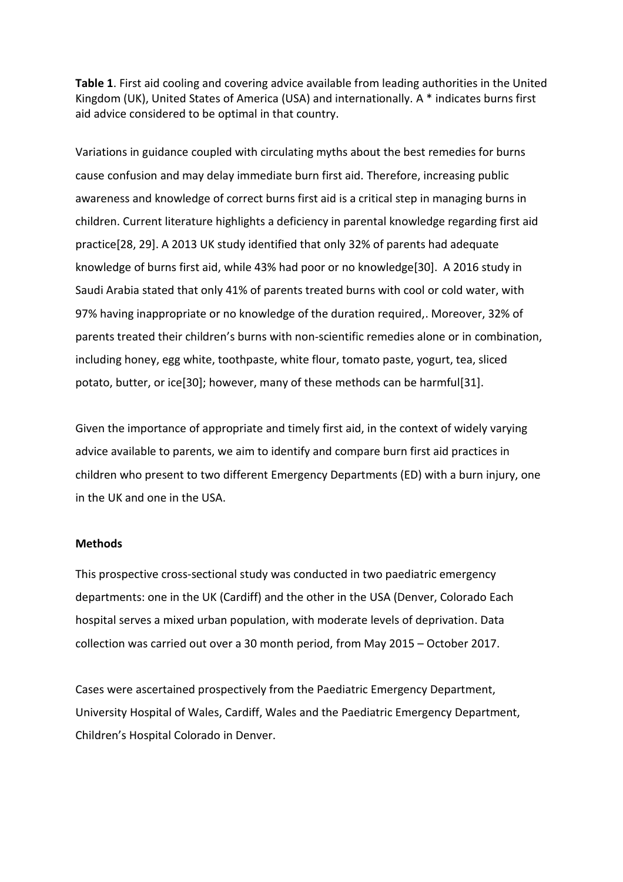**Table 1**. First aid cooling and covering advice available from leading authorities in the United Kingdom (UK), United States of America (USA) and internationally. A \* indicates burns first aid advice considered to be optimal in that country.

Variations in guidance coupled with circulating myths about the best remedies for burns cause confusion and may delay immediate burn first aid. Therefore, increasing public awareness and knowledge of correct burns first aid is a critical step in managing burns in children. Current literature highlights a deficiency in parental knowledge regarding first aid practice[28, 29]. A 2013 UK study identified that only 32% of parents had adequate knowledge of burns first aid, while 43% had poor or no knowledge[30]. A 2016 study in Saudi Arabia stated that only 41% of parents treated burns with cool or cold water, with 97% having inappropriate or no knowledge of the duration required,. Moreover, 32% of parents treated their children's burns with non-scientific remedies alone or in combination, including honey, egg white, toothpaste, white flour, tomato paste, yogurt, tea, sliced potato, butter, or ice[30]; however, many of these methods can be harmful[31].

Given the importance of appropriate and timely first aid, in the context of widely varying advice available to parents, we aim to identify and compare burn first aid practices in children who present to two different Emergency Departments (ED) with a burn injury, one in the UK and one in the USA.

## **Methods**

This prospective cross-sectional study was conducted in two paediatric emergency departments: one in the UK (Cardiff) and the other in the USA (Denver, Colorado Each hospital serves a mixed urban population, with moderate levels of deprivation. Data collection was carried out over a 30 month period, from May 2015 – October 2017.

Cases were ascertained prospectively from the Paediatric Emergency Department, University Hospital of Wales, Cardiff, Wales and the Paediatric Emergency Department, Children's Hospital Colorado in Denver.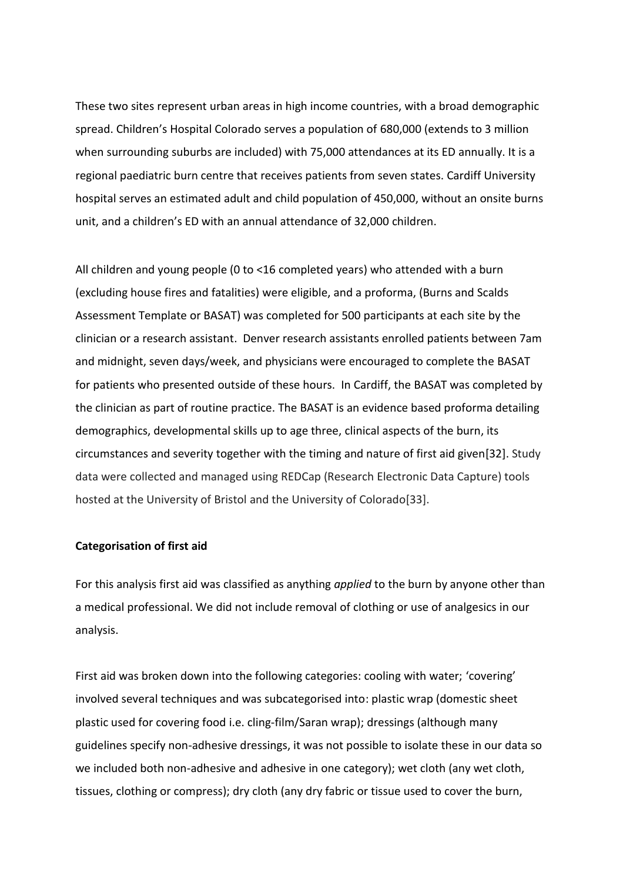These two sites represent urban areas in high income countries, with a broad demographic spread. Children's Hospital Colorado serves a population of 680,000 (extends to 3 million when surrounding suburbs are included) with 75,000 attendances at its ED annually. It is a regional paediatric burn centre that receives patients from seven states. Cardiff University hospital serves an estimated adult and child population of 450,000, without an onsite burns unit, and a children's ED with an annual attendance of 32,000 children.

All children and young people (0 to <16 completed years) who attended with a burn (excluding house fires and fatalities) were eligible, and a proforma, (Burns and Scalds Assessment Template or BASAT) was completed for 500 participants at each site by the clinician or a research assistant. Denver research assistants enrolled patients between 7am and midnight, seven days/week, and physicians were encouraged to complete the BASAT for patients who presented outside of these hours. In Cardiff, the BASAT was completed by the clinician as part of routine practice. The BASAT is an evidence based proforma detailing demographics, developmental skills up to age three, clinical aspects of the burn, its circumstances and severity together with the timing and nature of first aid given[32]. Study data were collected and managed using REDCap (Research Electronic Data Capture) tools hosted at the University of Bristol and the University of Colorado[33].

## **Categorisation of first aid**

For this analysis first aid was classified as anything *applied* to the burn by anyone other than a medical professional. We did not include removal of clothing or use of analgesics in our analysis.

First aid was broken down into the following categories: cooling with water; 'covering' involved several techniques and was subcategorised into: plastic wrap (domestic sheet plastic used for covering food i.e. cling-film/Saran wrap); dressings (although many guidelines specify non-adhesive dressings, it was not possible to isolate these in our data so we included both non-adhesive and adhesive in one category); wet cloth (any wet cloth, tissues, clothing or compress); dry cloth (any dry fabric or tissue used to cover the burn,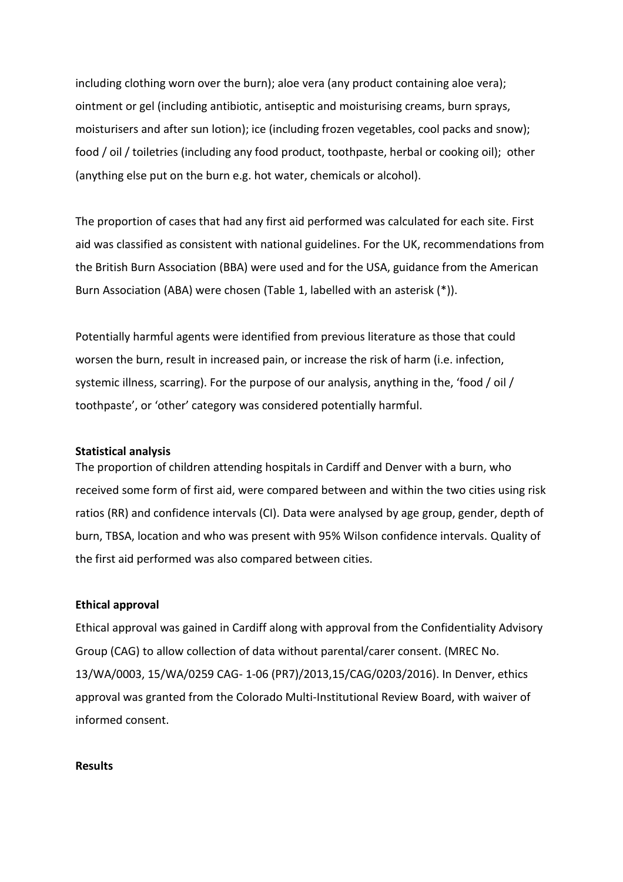including clothing worn over the burn); aloe vera (any product containing aloe vera); ointment or gel (including antibiotic, antiseptic and moisturising creams, burn sprays, moisturisers and after sun lotion); ice (including frozen vegetables, cool packs and snow); food / oil / toiletries (including any food product, toothpaste, herbal or cooking oil); other (anything else put on the burn e.g. hot water, chemicals or alcohol).

The proportion of cases that had any first aid performed was calculated for each site. First aid was classified as consistent with national guidelines. For the UK, recommendations from the British Burn Association (BBA) were used and for the USA, guidance from the American Burn Association (ABA) were chosen (Table 1, labelled with an asterisk (\*)).

Potentially harmful agents were identified from previous literature as those that could worsen the burn, result in increased pain, or increase the risk of harm (i.e. infection, systemic illness, scarring). For the purpose of our analysis, anything in the, 'food / oil / toothpaste', or 'other' category was considered potentially harmful.

#### **Statistical analysis**

The proportion of children attending hospitals in Cardiff and Denver with a burn, who received some form of first aid, were compared between and within the two cities using risk ratios (RR) and confidence intervals (CI). Data were analysed by age group, gender, depth of burn, TBSA, location and who was present with 95% Wilson confidence intervals. Quality of the first aid performed was also compared between cities.

#### **Ethical approval**

Ethical approval was gained in Cardiff along with approval from the Confidentiality Advisory Group (CAG) to allow collection of data without parental/carer consent. (MREC No. 13/WA/0003, 15/WA/0259 CAG- 1-06 (PR7)/2013,15/CAG/0203/2016). In Denver, ethics approval was granted from the Colorado Multi-Institutional Review Board, with waiver of informed consent.

#### **Results**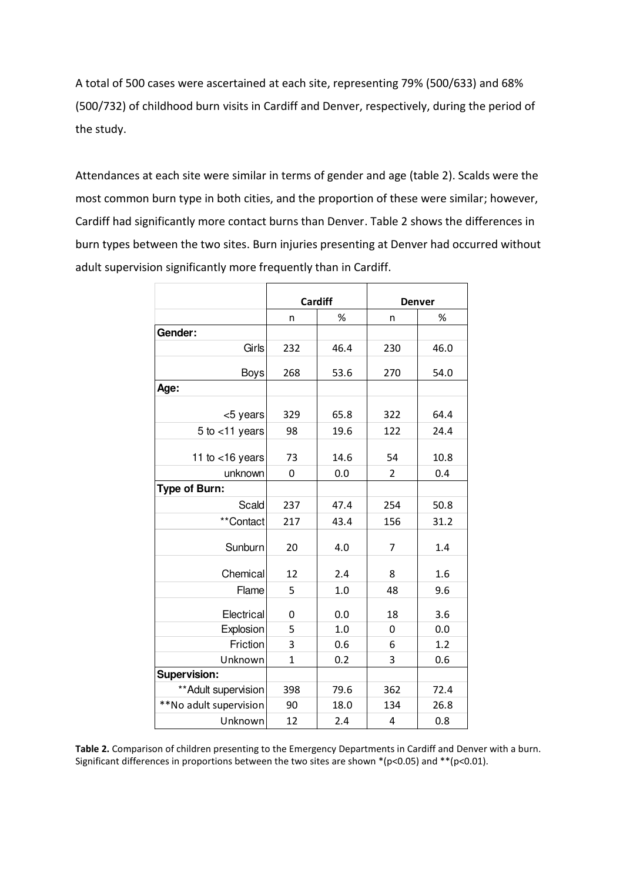A total of 500 cases were ascertained at each site, representing 79% (500/633) and 68% (500/732) of childhood burn visits in Cardiff and Denver, respectively, during the period of the study.

Attendances at each site were similar in terms of gender and age (table 2). Scalds were the most common burn type in both cities, and the proportion of these were similar; however, Cardiff had significantly more contact burns than Denver. Table 2 shows the differences in burn types between the two sites. Burn injuries presenting at Denver had occurred without adult supervision significantly more frequently than in Cardiff.

|                        |              | <b>Cardiff</b> |                | <b>Denver</b> |  |  |  |  |
|------------------------|--------------|----------------|----------------|---------------|--|--|--|--|
|                        | n            | %              | n              | %             |  |  |  |  |
| Gender:                |              |                |                |               |  |  |  |  |
| Girls                  | 232          | 46.4           | 230            | 46.0          |  |  |  |  |
| <b>Boys</b>            | 268          | 53.6           | 270            | 54.0          |  |  |  |  |
| Age:                   |              |                |                |               |  |  |  |  |
| <5 years               | 329          | 65.8           | 322            | 64.4          |  |  |  |  |
| $5$ to $<$ 11 years    | 98           | 19.6           | 122            | 24.4          |  |  |  |  |
| 11 to $<$ 16 years     | 73           | 14.6           | 54             | 10.8          |  |  |  |  |
| unknown                | $\mathbf 0$  | 0.0            | $\overline{2}$ | 0.4           |  |  |  |  |
| <b>Type of Burn:</b>   |              |                |                |               |  |  |  |  |
| Scald                  | 237          | 47.4           | 254            | 50.8          |  |  |  |  |
| **Contact              | 217          | 43.4           | 156            | 31.2          |  |  |  |  |
| Sunburn                | 20           | 4.0            | 7              | 1.4           |  |  |  |  |
| Chemical               | 12           | 2.4            | 8              | 1.6           |  |  |  |  |
| Flame                  | 5            | 1.0            | 48             | 9.6           |  |  |  |  |
| Electrical             | $\mathbf{0}$ | 0.0            | 18             | 3.6           |  |  |  |  |
| Explosion              | 5            | 1.0            | 0              | 0.0           |  |  |  |  |
| Friction               | 3            | 0.6            | 6              | 1.2           |  |  |  |  |
| Unknown                | 1            | 0.2            | 3              | 0.6           |  |  |  |  |
| Supervision:           |              |                |                |               |  |  |  |  |
| ** Adult supervision   | 398          | 79.6           | 362            | 72.4          |  |  |  |  |
| **No adult supervision | 90           | 18.0           | 134            | 26.8          |  |  |  |  |
| Unknown                | 12           | 2.4            | 4              | 0.8           |  |  |  |  |

**Table 2.** Comparison of children presenting to the Emergency Departments in Cardiff and Denver with a burn. Significant differences in proportions between the two sites are shown \*(p<0.05) and \*\*(p<0.01).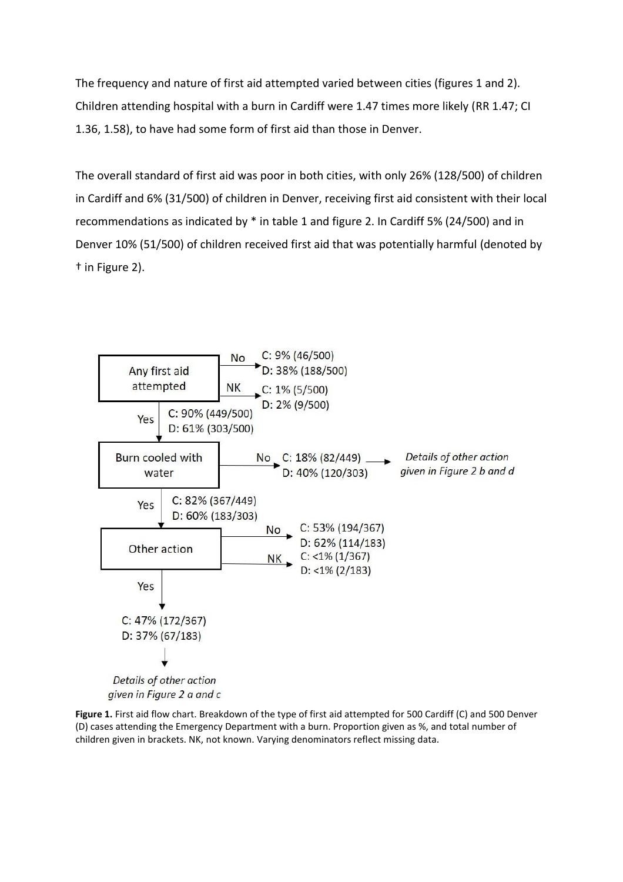The frequency and nature of first aid attempted varied between cities (figures 1 and 2). Children attending hospital with a burn in Cardiff were 1.47 times more likely (RR 1.47; CI 1.36, 1.58), to have had some form of first aid than those in Denver.

The overall standard of first aid was poor in both cities, with only 26% (128/500) of children in Cardiff and 6% (31/500) of children in Denver, receiving first aid consistent with their local recommendations as indicated by \* in table 1 and figure 2. In Cardiff 5% (24/500) and in Denver 10% (51/500) of children received first aid that was potentially harmful (denoted by † in Figure 2).



**Figure 1.** First aid flow chart. Breakdown of the type of first aid attempted for 500 Cardiff (C) and 500 Denver (D) cases attending the Emergency Department with a burn. Proportion given as %, and total number of children given in brackets. NK, not known. Varying denominators reflect missing data.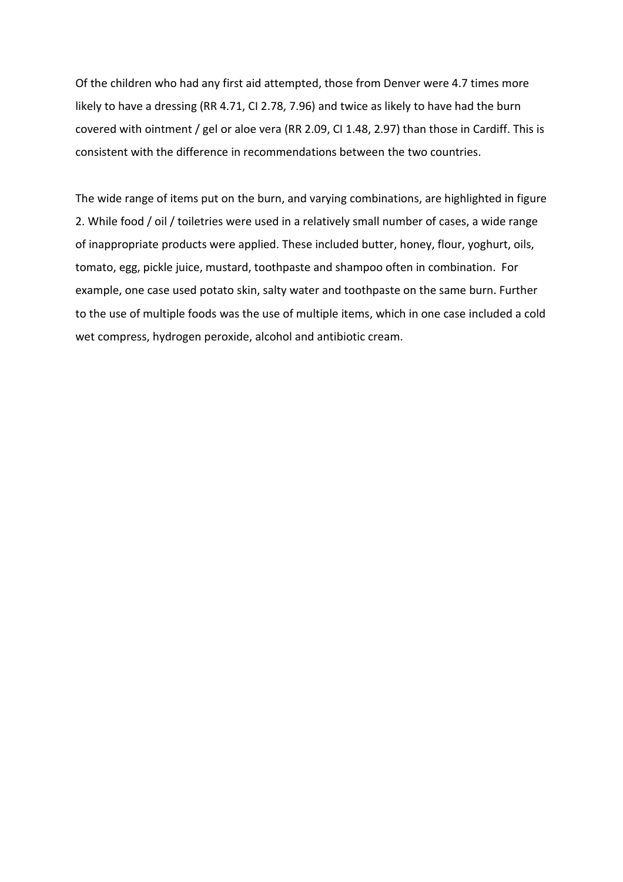Of the children who had any first aid attempted, those from Denver were 4.7 times more likely to have a dressing (RR 4.71, CI 2.78, 7.96) and twice as likely to have had the burn covered with ointment / gel or aloe vera (RR 2.09, CI 1.48, 2.97) than those in Cardiff. This is consistent with the difference in recommendations between the two countries.

The wide range of items put on the burn, and varying combinations, are highlighted in figure 2. While food / oil / toiletries were used in a relatively small number of cases, a wide range of inappropriate products were applied. These included butter, honey, flour, yoghurt, oils, tomato, egg, pickle juice, mustard, toothpaste and shampoo often in combination. For example, one case used potato skin, salty water and toothpaste on the same burn. Further to the use of multiple foods was the use of multiple items, which in one case included a cold wet compress, hydrogen peroxide, alcohol and antibiotic cream.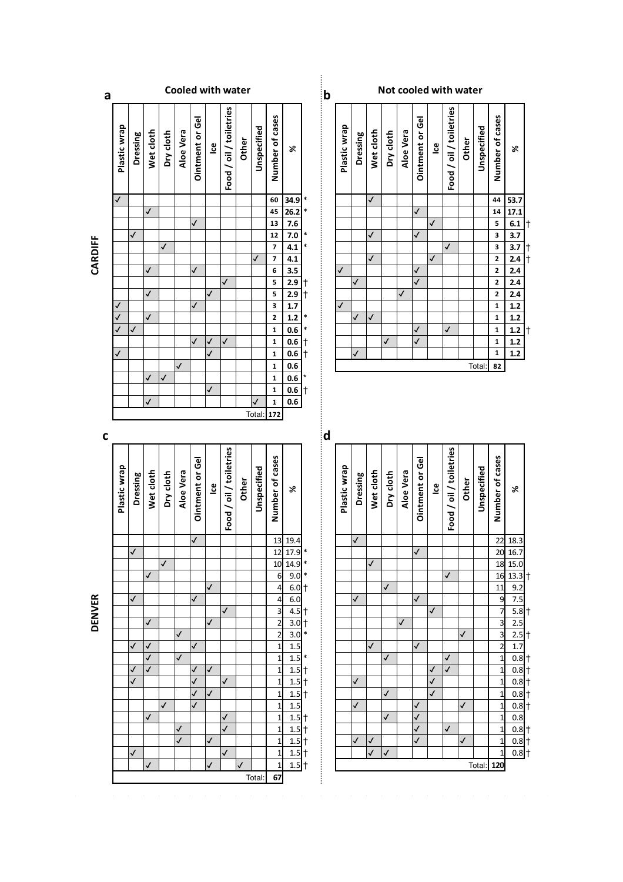| a |              |              |              |              |              |                              |              |                         | <b>Cooled with water</b> |              |                               |                    | b           |              |              |              |              |           | Not cooled with water |              |                         |              |             |                                         |                                                                                         |
|---|--------------|--------------|--------------|--------------|--------------|------------------------------|--------------|-------------------------|--------------------------|--------------|-------------------------------|--------------------|-------------|--------------|--------------|--------------|--------------|-----------|-----------------------|--------------|-------------------------|--------------|-------------|-----------------------------------------|-----------------------------------------------------------------------------------------|
|   | Plastic wrap | Dressing     | Wet cloth    | Dry cloth    | Aloe Vera    | Ointment or Gel              | $\mathbf{e}$ | Food / oil / toiletries | Other                    | Unspecified  | Number of cases               | $\aleph$           |             | Plastic wrap | Dressing     | Wet cloth    | Dry cloth    | Aloe Vera | Ointment or Gel       | <u>ს</u>     | Food / oil / toiletries | Other        | Unspecified | Number of cases                         | $\aleph$                                                                                |
|   | √            |              |              |              |              |                              |              |                         |                          |              | 60                            | 34.9               |             |              |              | $\checkmark$ |              |           |                       |              |                         |              |             | 44                                      | 53.7                                                                                    |
|   |              |              | $\checkmark$ |              |              |                              |              |                         |                          |              | 45                            | 26.2               |             |              |              |              |              |           | $\checkmark$          |              |                         |              |             | $14$                                    | 17.1                                                                                    |
|   |              | ✓            |              |              |              | √                            |              |                         |                          |              | 13                            | 7.6                |             |              |              | √            |              |           | $\checkmark$          | ✓            |                         |              |             | 5<br>3                                  | 6.1                                                                                     |
|   |              |              |              | √            |              |                              |              |                         |                          |              | 12<br>$\overline{\mathbf{z}}$ | 7.0<br>4.1         |             |              |              |              |              |           |                       |              | ✓                       |              |             | 3                                       | $\overline{3.7}$<br>3.7                                                                 |
|   |              |              |              |              |              |                              |              |                         |                          | ✓            | $\overline{\phantom{a}}$      | 4.1                |             |              |              | √            |              |           |                       | $\checkmark$ |                         |              |             | $\overline{\mathbf{c}}$                 | 2.4                                                                                     |
|   |              |              | √            |              |              | √                            |              |                         |                          |              | 6                             | 3.5                |             | $\checkmark$ |              |              |              |           | √                     |              |                         |              |             | $\mathbf 2$                             | 2.4                                                                                     |
|   |              |              |              |              |              |                              |              | $\checkmark$            |                          |              | 5                             | $\frac{2.9}{2.9}$  | $\ddagger$  |              | $\checkmark$ |              |              |           | $\checkmark$          |              |                         |              |             | $\overline{\mathbf{c}}$                 | 2.4                                                                                     |
|   |              |              | √            |              |              |                              | √            |                         |                          |              | 5                             |                    | $\ddagger$  |              |              |              |              | ✓         |                       |              |                         |              |             | $\overline{\mathbf{c}}$                 | 2.4                                                                                     |
|   |              |              | $\checkmark$ |              |              | ✓                            |              |                         |                          |              | 3<br>$\mathbf 2$              | 1.7<br>$1.2$       |             | ✓            | $\checkmark$ | ✓            |              |           |                       |              |                         |              |             | $\overline{\mathbf{1}}$<br>$\mathbf{1}$ | 1.2<br>$\overline{1.2}$                                                                 |
|   |              | $\checkmark$ |              |              |              |                              |              |                         |                          |              | $\mathbf 1$                   | 0.6                |             |              |              |              |              |           | $\checkmark$          |              | J                       |              |             | $\mathbf 1$                             | $1.2$ +                                                                                 |
|   |              |              |              |              |              | √                            | ✓            | $\checkmark$            |                          |              | $\mathbf 1$                   | 0.6                | †           |              |              |              | $\checkmark$ |           | $\checkmark$          |              |                         |              |             | $\mathbf 1$                             | 1.2                                                                                     |
|   | ✓            |              |              |              |              |                              | $\checkmark$ |                         |                          |              | $\mathbf 1$                   | $0.6$ +            |             |              | $\checkmark$ |              |              |           |                       |              |                         |              |             | $\mathbf 1$                             | $1.2$                                                                                   |
|   |              |              |              |              | $\checkmark$ |                              |              |                         |                          |              | $\mathbf 1$                   | 0.6                |             |              |              |              |              |           |                       |              |                         |              | Total       | 82                                      |                                                                                         |
|   |              |              | $\checkmark$ | $\checkmark$ |              |                              |              |                         |                          |              | $\mathbf{1}$                  | 0.6                |             |              |              |              |              |           |                       |              |                         |              |             |                                         |                                                                                         |
|   |              |              | $\checkmark$ |              |              |                              | √            |                         |                          | $\checkmark$ | $\mathbf 1$<br>$\mathbf 1$    | $\bf 0.6$<br>0.6   | $\ddagger$  |              |              |              |              |           |                       |              |                         |              |             |                                         |                                                                                         |
|   |              |              |              |              |              |                              |              |                         |                          |              | <b>Total: 172</b>             |                    |             |              |              |              |              |           |                       |              |                         |              |             |                                         |                                                                                         |
|   |              |              |              |              |              |                              |              |                         |                          |              |                               |                    |             |              |              |              |              |           |                       |              |                         |              |             |                                         |                                                                                         |
|   |              |              |              |              |              |                              |              |                         |                          |              |                               |                    |             |              |              |              |              |           |                       |              |                         |              |             |                                         |                                                                                         |
| C |              |              |              |              |              |                              |              |                         |                          |              |                               |                    | ¦d          |              |              |              |              |           |                       |              |                         |              |             |                                         |                                                                                         |
|   | Plastic wrap | Dressing     | Wet cloth    | Dry cloth    | Aloe Vera    | Ointment or Gel              | $\mathbf{e}$ |                         | Other                    | Unspecified  | Number of cases               | $\aleph$           |             | Plastic wrap | Dressing     | Wet cloth    | Dry cloth    | Aloe Vera | Ointment or Gel       | <u>eg</u>    |                         | Other        | Unspecified | Number of cases                         | $\aleph$                                                                                |
|   |              |              |              |              |              | $\checkmark$                 |              | Food / oil / toiletries |                          |              |                               |                    |             |              |              |              |              |           |                       |              | Food / oil / toiletries |              |             |                                         |                                                                                         |
|   |              | $\checkmark$ |              |              |              |                              |              |                         |                          |              |                               | 13 19.4<br>12 17.9 | $\ast$      |              | $\checkmark$ |              |              |           | $\rightarrow$         |              |                         |              |             | 22<br>20                                |                                                                                         |
|   |              |              |              | $\checkmark$ |              |                              |              |                         |                          |              | 10                            | 14.9               | *           |              |              | ✓            |              |           |                       |              |                         |              |             | 18                                      |                                                                                         |
|   |              |              | $\checkmark$ |              |              |                              |              |                         |                          |              | 6                             | 9.0                |             |              |              |              |              |           |                       |              | $\checkmark$            |              |             | 16                                      |                                                                                         |
|   |              |              |              |              |              |                              | $\checkmark$ |                         |                          |              | 4                             | $6.0 +$            |             |              |              |              | $\checkmark$ |           |                       |              |                         |              |             | 11                                      |                                                                                         |
|   |              | $\checkmark$ |              |              |              | $\checkmark$                 |              | $\checkmark$            |                          |              | $\overline{\mathbf{4}}$       | 6.0                |             |              | $\checkmark$ |              |              |           | $\checkmark$          | $\checkmark$ |                         |              |             | 9<br>$\overline{7}$                     |                                                                                         |
|   |              |              | $\checkmark$ |              |              |                              | $\checkmark$ |                         |                          |              | 3<br>$\overline{c}$           | 4.5<br>3.0         | t           |              |              |              |              | ✓         |                       |              |                         |              |             | 3                                       |                                                                                         |
|   |              |              |              |              | $\checkmark$ |                              |              |                         |                          |              | $\overline{c}$                | 3.0                | t<br>$\ast$ |              |              |              |              |           |                       |              |                         | $\checkmark$ |             | 3                                       |                                                                                         |
|   |              | ✓            | √            |              |              | $\checkmark$                 |              |                         |                          |              | $\mathbf{1}$                  | 1.5                |             |              |              | $\checkmark$ |              |           | $\checkmark$          |              |                         |              |             | $\overline{2}$                          | 18.3<br>16.7<br>15.0<br>$13.3 +$<br>9.2<br>$\overline{7.5}$<br>5.8<br>2.5<br>2.5<br>1.7 |
|   |              |              | $\checkmark$ |              | $\checkmark$ |                              |              |                         |                          |              | $\mathbf{1}$                  | 1.5                |             |              |              |              | $\checkmark$ |           |                       |              | ✓                       |              |             | 1                                       | 0.8                                                                                     |
|   |              |              | $\checkmark$ |              |              | √                            | ✓            |                         |                          |              | $\mathbf{1}$                  | 1.5                | Ť           |              |              |              |              |           |                       | ✓            | $\checkmark$            |              |             |                                         |                                                                                         |
|   |              | J            |              |              |              | $\checkmark$                 |              | $\checkmark$            |                          |              | $\mathbf{1}$                  | 1.5                | t           |              | $\checkmark$ |              |              |           |                       | $\checkmark$ |                         |              |             | $\mathbf{1}$                            | 0.8<br>0.8                                                                              |
|   |              |              |              | $\checkmark$ |              | $\checkmark$<br>$\checkmark$ | $\checkmark$ |                         |                          |              | $\mathbf{1}$                  | 1.5                | t           |              | $\checkmark$ |              | $\checkmark$ |           | ✓                     | $\checkmark$ |                         | $\checkmark$ |             | $\mathbf{1}$<br>1                       |                                                                                         |
|   |              |              | $\checkmark$ |              |              |                              |              | ✓                       |                          |              | $\mathbf{1}$<br>$\mathbf{1}$  | 1.5<br>1.5         | t           |              |              |              | $\checkmark$ |           | $\checkmark$          |              |                         |              |             |                                         | 0.8<br>0.8<br>0.8                                                                       |
|   |              |              |              |              | √            |                              |              | $\checkmark$            |                          |              | $\mathbf 1$                   | 1.5                | t           |              |              |              |              |           | ✓                     |              | $\checkmark$            |              |             | 1                                       |                                                                                         |
|   |              |              |              |              | $\checkmark$ |                              | $\checkmark$ |                         |                          |              | $\mathbf 1$                   | $1.5$ †            |             |              | $\checkmark$ | $\checkmark$ |              |           | $\checkmark$          |              |                         | $\checkmark$ |             | 1                                       |                                                                                         |
|   |              | ✓            | J            |              |              |                              | $\checkmark$ | $\checkmark$            | $\checkmark$             |              | $\mathbf 1$<br>$\mathbf 1$    | $1.5$ †<br>1.5     | t           |              |              | $\checkmark$ | J            |           |                       |              |                         |              | Total:      | 1<br>120                                | 0.8<br>0.8<br>0.8                                                                       |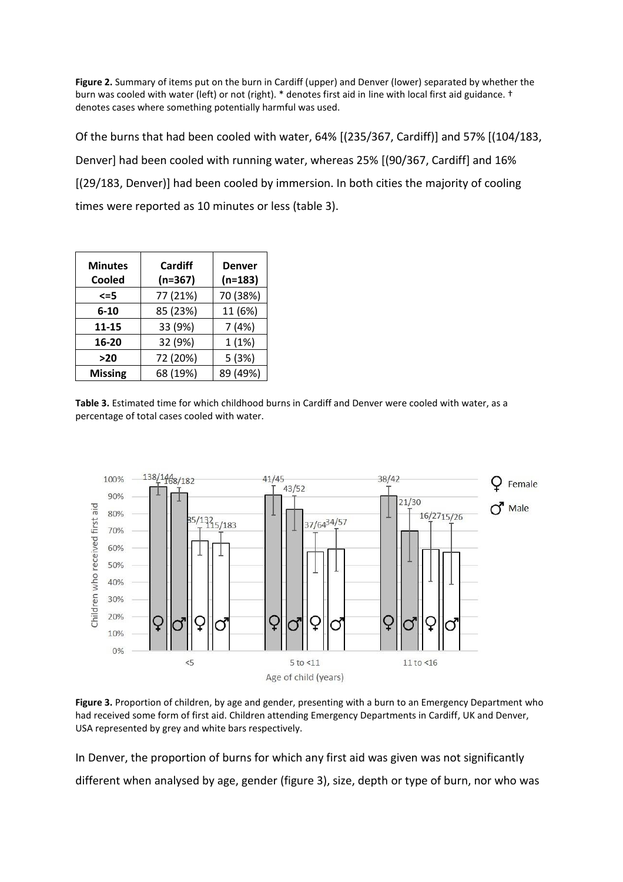**Figure 2.** Summary of items put on the burn in Cardiff (upper) and Denver (lower) separated by whether the burn was cooled with water (left) or not (right). \* denotes first aid in line with local first aid guidance. † denotes cases where something potentially harmful was used.

Of the burns that had been cooled with water, 64% [(235/367, Cardiff)] and 57% [(104/183, Denver] had been cooled with running water, whereas 25% [(90/367, Cardiff] and 16% [(29/183, Denver)] had been cooled by immersion. In both cities the majority of cooling times were reported as 10 minutes or less (table 3).

| <b>Minutes</b><br>Cooled | Cardiff<br>$(n=367)$ | <b>Denver</b><br>$(n=183)$ |
|--------------------------|----------------------|----------------------------|
| $\leq$ =5                | 77 (21%)             | 70 (38%)                   |
| 6-10                     | 85 (23%)             | 11 (6%)                    |
| 11-15                    | 33 (9%)              | 7(4%)                      |
| 16-20                    | 32 (9%)              | 1(1%)                      |
| >20                      | 72 (20%)             | 5(3%)                      |
| <b>Missing</b>           | 68 (19%)             | 89 (49%)                   |

**Table 3.** Estimated time for which childhood burns in Cardiff and Denver were cooled with water, as a percentage of total cases cooled with water.



**Figure 3.** Proportion of children, by age and gender, presenting with a burn to an Emergency Department who had received some form of first aid. Children attending Emergency Departments in Cardiff, UK and Denver, USA represented by grey and white bars respectively.

In Denver, the proportion of burns for which any first aid was given was not significantly different when analysed by age, gender (figure 3), size, depth or type of burn, nor who was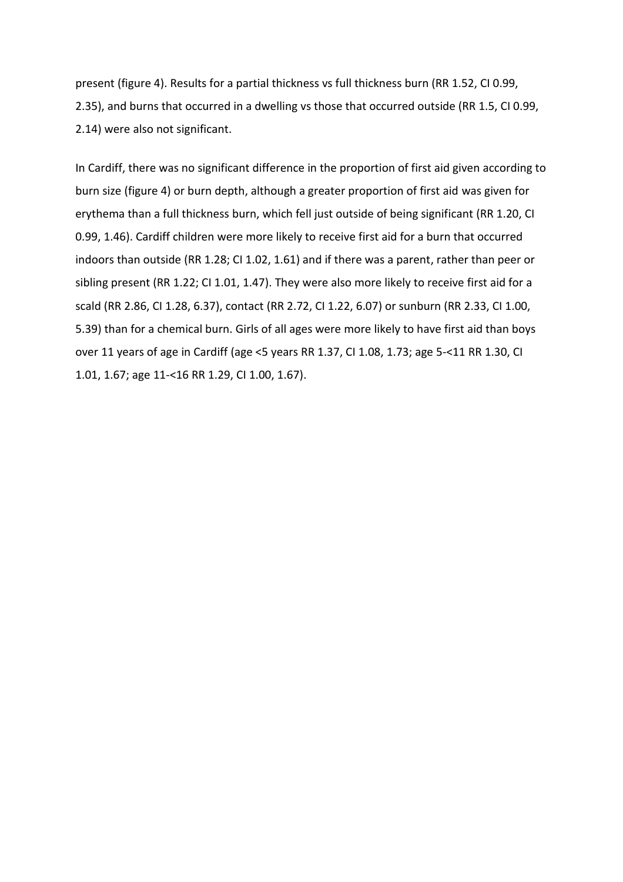present (figure 4). Results for a partial thickness vs full thickness burn (RR 1.52, CI 0.99, 2.35), and burns that occurred in a dwelling vs those that occurred outside (RR 1.5, CI 0.99, 2.14) were also not significant.

In Cardiff, there was no significant difference in the proportion of first aid given according to burn size (figure 4) or burn depth, although a greater proportion of first aid was given for erythema than a full thickness burn, which fell just outside of being significant (RR 1.20, CI 0.99, 1.46). Cardiff children were more likely to receive first aid for a burn that occurred indoors than outside (RR 1.28; CI 1.02, 1.61) and if there was a parent, rather than peer or sibling present (RR 1.22; CI 1.01, 1.47). They were also more likely to receive first aid for a scald (RR 2.86, CI 1.28, 6.37), contact (RR 2.72, CI 1.22, 6.07) or sunburn (RR 2.33, CI 1.00, 5.39) than for a chemical burn. Girls of all ages were more likely to have first aid than boys over 11 years of age in Cardiff (age <5 years RR 1.37, CI 1.08, 1.73; age 5-<11 RR 1.30, CI 1.01, 1.67; age 11-<16 RR 1.29, CI 1.00, 1.67).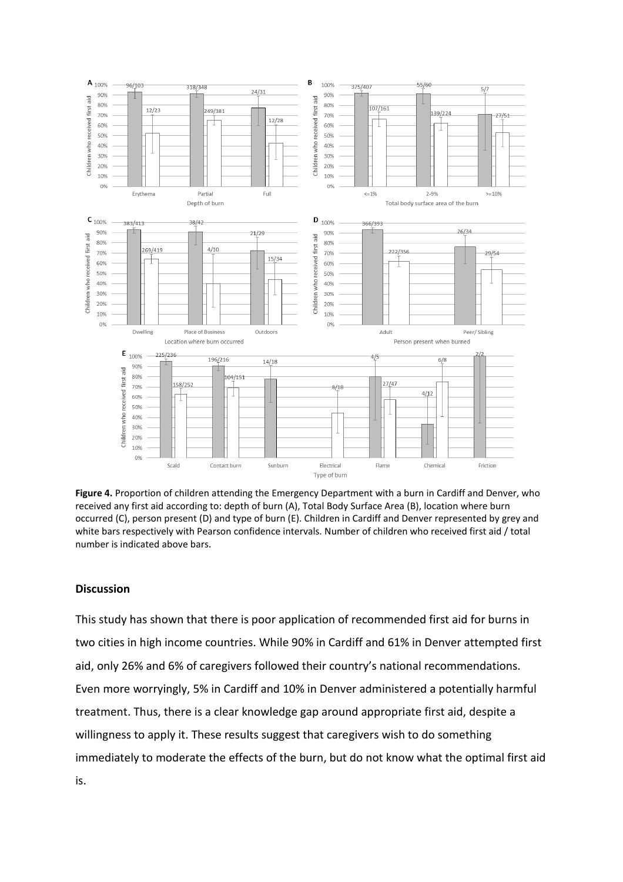

**Figure 4.** Proportion of children attending the Emergency Department with a burn in Cardiff and Denver, who received any first aid according to: depth of burn (A), Total Body Surface Area (B), location where burn occurred (C), person present (D) and type of burn (E). Children in Cardiff and Denver represented by grey and white bars respectively with Pearson confidence intervals. Number of children who received first aid / total number is indicated above bars.

## **Discussion**

This study has shown that there is poor application of recommended first aid for burns in two cities in high income countries. While 90% in Cardiff and 61% in Denver attempted first aid, only 26% and 6% of caregivers followed their country's national recommendations. Even more worryingly, 5% in Cardiff and 10% in Denver administered a potentially harmful treatment. Thus, there is a clear knowledge gap around appropriate first aid, despite a willingness to apply it. These results suggest that caregivers wish to do something immediately to moderate the effects of the burn, but do not know what the optimal first aid is.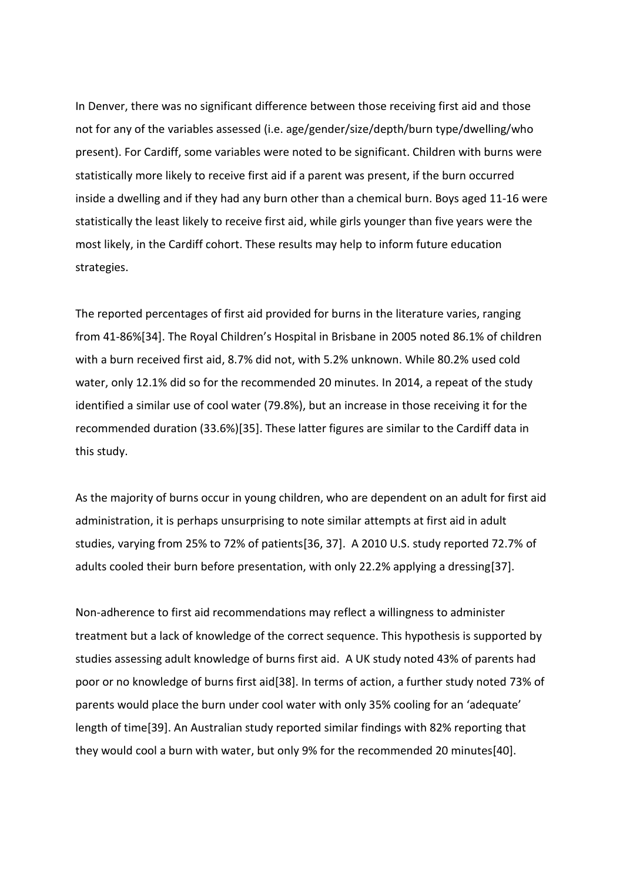In Denver, there was no significant difference between those receiving first aid and those not for any of the variables assessed (i.e. age/gender/size/depth/burn type/dwelling/who present). For Cardiff, some variables were noted to be significant. Children with burns were statistically more likely to receive first aid if a parent was present, if the burn occurred inside a dwelling and if they had any burn other than a chemical burn. Boys aged 11-16 were statistically the least likely to receive first aid, while girls younger than five years were the most likely, in the Cardiff cohort. These results may help to inform future education strategies.

The reported percentages of first aid provided for burns in the literature varies, ranging from 41-86%[34]. The Royal Children's Hospital in Brisbane in 2005 noted 86.1% of children with a burn received first aid, 8.7% did not, with 5.2% unknown. While 80.2% used cold water, only 12.1% did so for the recommended 20 minutes. In 2014, a repeat of the study identified a similar use of cool water (79.8%), but an increase in those receiving it for the recommended duration (33.6%)[35]. These latter figures are similar to the Cardiff data in this study.

As the majority of burns occur in young children, who are dependent on an adult for first aid administration, it is perhaps unsurprising to note similar attempts at first aid in adult studies, varying from 25% to 72% of patients[36, 37]. A 2010 U.S. study reported 72.7% of adults cooled their burn before presentation, with only 22.2% applying a dressing[37].

Non-adherence to first aid recommendations may reflect a willingness to administer treatment but a lack of knowledge of the correct sequence. This hypothesis is supported by studies assessing adult knowledge of burns first aid. A UK study noted 43% of parents had poor or no knowledge of burns first aid[38]. In terms of action, a further study noted 73% of parents would place the burn under cool water with only 35% cooling for an 'adequate' length of time[39]. An Australian study reported similar findings with 82% reporting that they would cool a burn with water, but only 9% for the recommended 20 minutes[40].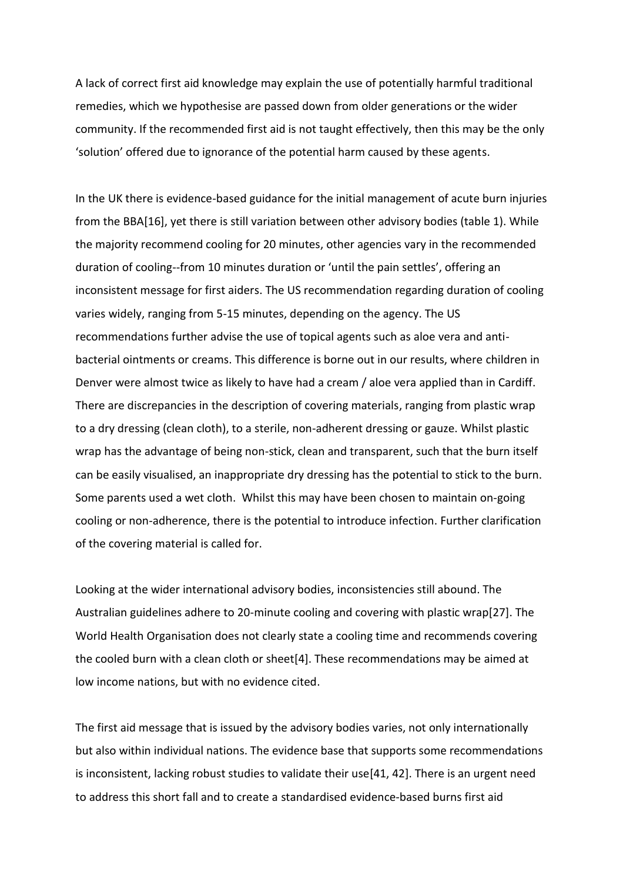A lack of correct first aid knowledge may explain the use of potentially harmful traditional remedies, which we hypothesise are passed down from older generations or the wider community. If the recommended first aid is not taught effectively, then this may be the only 'solution' offered due to ignorance of the potential harm caused by these agents.

In the UK there is evidence-based guidance for the initial management of acute burn injuries from the BBA[16], yet there is still variation between other advisory bodies (table 1). While the majority recommend cooling for 20 minutes, other agencies vary in the recommended duration of cooling--from 10 minutes duration or 'until the pain settles', offering an inconsistent message for first aiders. The US recommendation regarding duration of cooling varies widely, ranging from 5-15 minutes, depending on the agency. The US recommendations further advise the use of topical agents such as aloe vera and antibacterial ointments or creams. This difference is borne out in our results, where children in Denver were almost twice as likely to have had a cream / aloe vera applied than in Cardiff. There are discrepancies in the description of covering materials, ranging from plastic wrap to a dry dressing (clean cloth), to a sterile, non-adherent dressing or gauze. Whilst plastic wrap has the advantage of being non-stick, clean and transparent, such that the burn itself can be easily visualised, an inappropriate dry dressing has the potential to stick to the burn. Some parents used a wet cloth. Whilst this may have been chosen to maintain on-going cooling or non-adherence, there is the potential to introduce infection. Further clarification of the covering material is called for.

Looking at the wider international advisory bodies, inconsistencies still abound. The Australian guidelines adhere to 20-minute cooling and covering with plastic wrap[27]. The World Health Organisation does not clearly state a cooling time and recommends covering the cooled burn with a clean cloth or sheet[4]. These recommendations may be aimed at low income nations, but with no evidence cited.

The first aid message that is issued by the advisory bodies varies, not only internationally but also within individual nations. The evidence base that supports some recommendations is inconsistent, lacking robust studies to validate their use[41, 42]. There is an urgent need to address this short fall and to create a standardised evidence-based burns first aid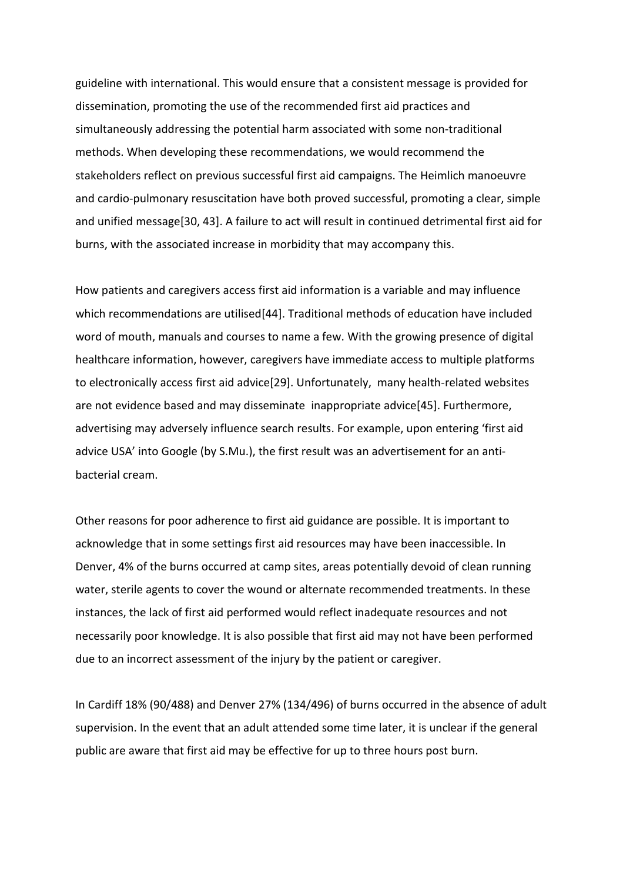guideline with international. This would ensure that a consistent message is provided for dissemination, promoting the use of the recommended first aid practices and simultaneously addressing the potential harm associated with some non-traditional methods. When developing these recommendations, we would recommend the stakeholders reflect on previous successful first aid campaigns. The Heimlich manoeuvre and cardio-pulmonary resuscitation have both proved successful, promoting a clear, simple and unified message[30, 43]. A failure to act will result in continued detrimental first aid for burns, with the associated increase in morbidity that may accompany this.

How patients and caregivers access first aid information is a variable and may influence which recommendations are utilised[44]. Traditional methods of education have included word of mouth, manuals and courses to name a few. With the growing presence of digital healthcare information, however, caregivers have immediate access to multiple platforms to electronically access first aid advice[29]. Unfortunately, many health-related websites are not evidence based and may disseminate inappropriate advice[45]. Furthermore, advertising may adversely influence search results. For example, upon entering 'first aid advice USA' into Google (by S.Mu.), the first result was an advertisement for an antibacterial cream.

Other reasons for poor adherence to first aid guidance are possible. It is important to acknowledge that in some settings first aid resources may have been inaccessible. In Denver, 4% of the burns occurred at camp sites, areas potentially devoid of clean running water, sterile agents to cover the wound or alternate recommended treatments. In these instances, the lack of first aid performed would reflect inadequate resources and not necessarily poor knowledge. It is also possible that first aid may not have been performed due to an incorrect assessment of the injury by the patient or caregiver.

In Cardiff 18% (90/488) and Denver 27% (134/496) of burns occurred in the absence of adult supervision. In the event that an adult attended some time later, it is unclear if the general public are aware that first aid may be effective for up to three hours post burn.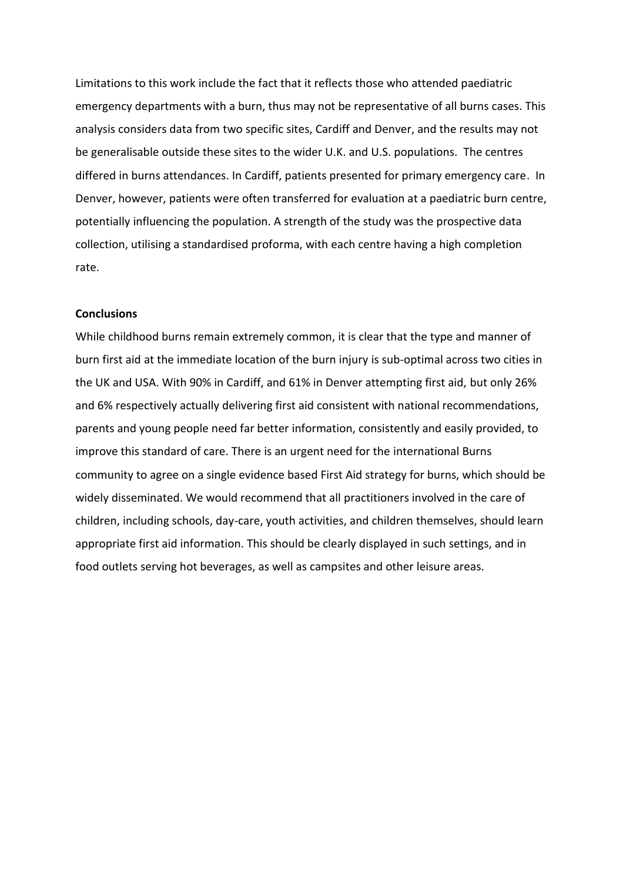Limitations to this work include the fact that it reflects those who attended paediatric emergency departments with a burn, thus may not be representative of all burns cases. This analysis considers data from two specific sites, Cardiff and Denver, and the results may not be generalisable outside these sites to the wider U.K. and U.S. populations. The centres differed in burns attendances. In Cardiff, patients presented for primary emergency care. In Denver, however, patients were often transferred for evaluation at a paediatric burn centre, potentially influencing the population. A strength of the study was the prospective data collection, utilising a standardised proforma, with each centre having a high completion rate.

### **Conclusions**

While childhood burns remain extremely common, it is clear that the type and manner of burn first aid at the immediate location of the burn injury is sub-optimal across two cities in the UK and USA. With 90% in Cardiff, and 61% in Denver attempting first aid, but only 26% and 6% respectively actually delivering first aid consistent with national recommendations, parents and young people need far better information, consistently and easily provided, to improve this standard of care. There is an urgent need for the international Burns community to agree on a single evidence based First Aid strategy for burns, which should be widely disseminated. We would recommend that all practitioners involved in the care of children, including schools, day-care, youth activities, and children themselves, should learn appropriate first aid information. This should be clearly displayed in such settings, and in food outlets serving hot beverages, as well as campsites and other leisure areas.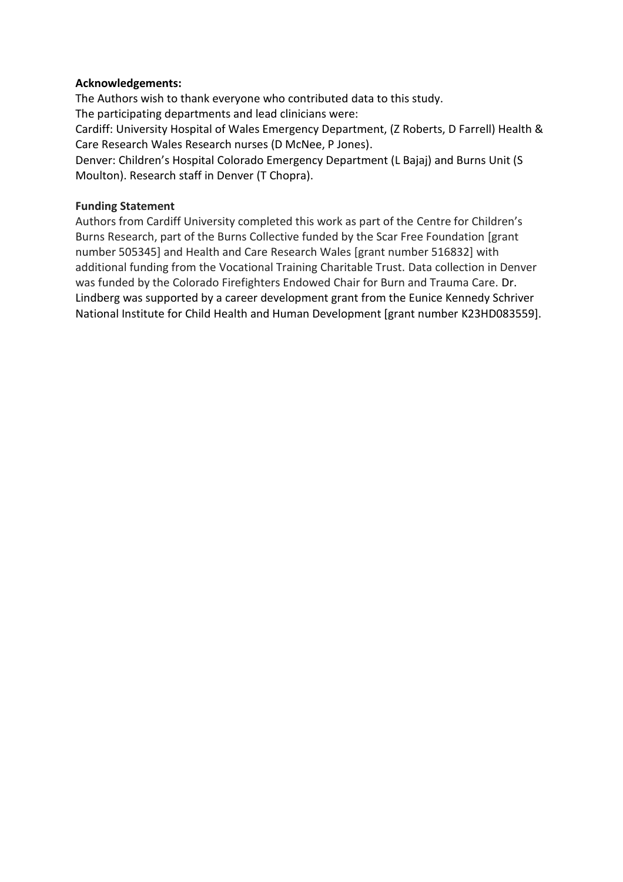## **Acknowledgements:**

The Authors wish to thank everyone who contributed data to this study. The participating departments and lead clinicians were:

Cardiff: University Hospital of Wales Emergency Department, (Z Roberts, D Farrell) Health & Care Research Wales Research nurses (D McNee, P Jones).

Denver: Children's Hospital Colorado Emergency Department (L Bajaj) and Burns Unit (S Moulton). Research staff in Denver (T Chopra).

## **Funding Statement**

Authors from Cardiff University completed this work as part of the Centre for Children's Burns Research, part of the Burns Collective funded by the Scar Free Foundation [grant number 505345] and Health and Care Research Wales [grant number 516832] with additional funding from the Vocational Training Charitable Trust. Data collection in Denver was funded by the Colorado Firefighters Endowed Chair for Burn and Trauma Care. Dr. Lindberg was supported by a career development grant from the Eunice Kennedy Schriver National Institute for Child Health and Human Development [grant number K23HD083559].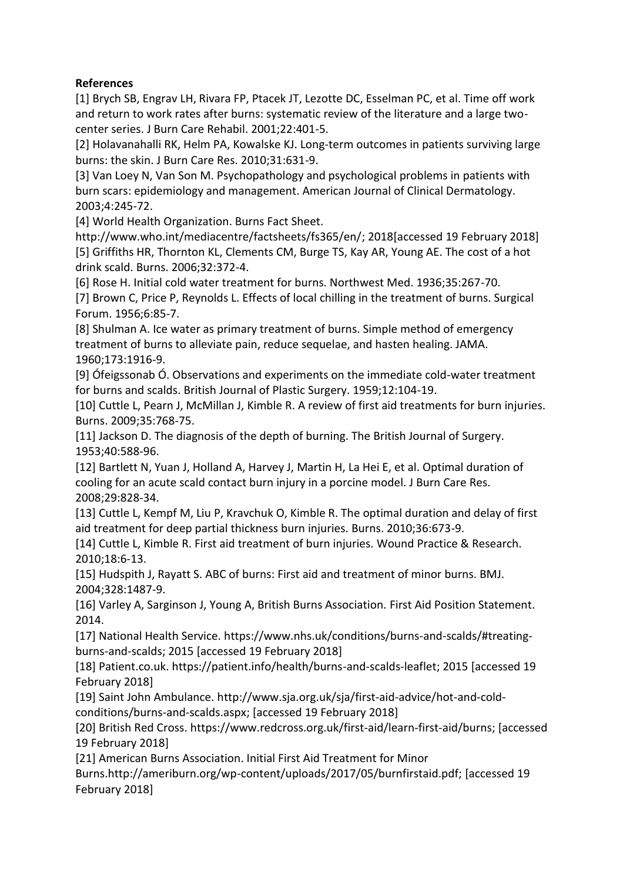# **References**

[1] Brych SB, Engrav LH, Rivara FP, Ptacek JT, Lezotte DC, Esselman PC, et al. Time off work and return to work rates after burns: systematic review of the literature and a large twocenter series. J Burn Care Rehabil. 2001;22:401-5.

[2] Holavanahalli RK, Helm PA, Kowalske KJ. Long-term outcomes in patients surviving large burns: the skin. J Burn Care Res. 2010;31:631-9.

[3] Van Loey N, Van Son M. Psychopathology and psychological problems in patients with burn scars: epidemiology and management. American Journal of Clinical Dermatology. 2003;4:245-72.

[4] World Health Organization. Burns Fact Sheet.

[http://www.who.int/mediacentre/factsheets/fs365/en/;](http://www.who.int/mediacentre/factsheets/fs365/en/) 2018[accessed 19 February 2018] [5] Griffiths HR, Thornton KL, Clements CM, Burge TS, Kay AR, Young AE. The cost of a hot drink scald. Burns. 2006;32:372-4.

[6] Rose H. Initial cold water treatment for burns. Northwest Med. 1936;35:267-70.

[7] Brown C, Price P, Reynolds L. Effects of local chilling in the treatment of burns. Surgical Forum. 1956;6:85-7.

[8] Shulman A. Ice water as primary treatment of burns. Simple method of emergency treatment of burns to alleviate pain, reduce sequelae, and hasten healing. JAMA. 1960;173:1916-9.

[9] Ófeigssonab Ó. Observations and experiments on the immediate cold-water treatment for burns and scalds. British Journal of Plastic Surgery. 1959;12:104-19.

[10] Cuttle L, Pearn J, McMillan J, Kimble R. A review of first aid treatments for burn injuries. Burns. 2009;35:768-75.

[11] Jackson D. The diagnosis of the depth of burning. The British Journal of Surgery. 1953;40:588-96.

[12] Bartlett N, Yuan J, Holland A, Harvey J, Martin H, La Hei E, et al. Optimal duration of cooling for an acute scald contact burn injury in a porcine model. J Burn Care Res. 2008;29:828-34.

[13] Cuttle L, Kempf M, Liu P, Kravchuk O, Kimble R. The optimal duration and delay of first aid treatment for deep partial thickness burn injuries. Burns. 2010;36:673-9.

[14] Cuttle L, Kimble R. First aid treatment of burn injuries. Wound Practice & Research. 2010;18:6-13.

[15] Hudspith J, Rayatt S. ABC of burns: First aid and treatment of minor burns. BMJ. 2004;328:1487-9.

[16] Varley A, Sarginson J, Young A, British Burns Association. First Aid Position Statement. 2014.

[17] National Health Service. [https://www.nhs.uk/conditions/burns-and-scalds/#treating](https://www.nhs.uk/conditions/burns-and-scalds/#treating-burns-and-scalds)[burns-and-scalds;](https://www.nhs.uk/conditions/burns-and-scalds/#treating-burns-and-scalds) 2015 [accessed 19 February 2018]

[18] Patient.co.uk. https://patient.info/health/burns-and-scalds-leaflet; 2015 [accessed 19 February 2018]

[19] Saint John Ambulance. [http://www.sja.org.uk/sja/first-aid-advice/hot-and-cold](http://www.sja.org.uk/sja/first-aid-advice/hot-and-cold-conditions/burns-and-scalds.aspx)[conditions/burns-and-scalds.aspx;](http://www.sja.org.uk/sja/first-aid-advice/hot-and-cold-conditions/burns-and-scalds.aspx) [accessed 19 February 2018]

[20] British Red Cross[. https://www.redcross.org.uk/first-aid/learn-first-aid/burns;](https://www.redcross.org.uk/first-aid/learn-first-aid/burns) [accessed 19 February 2018]

[21] American Burns Association. Initial First Aid Treatment for Minor

Burns.http://ameriburn.org/wp-content/uploads/2017/05/burnfirstaid.pdf; [accessed 19 February 2018]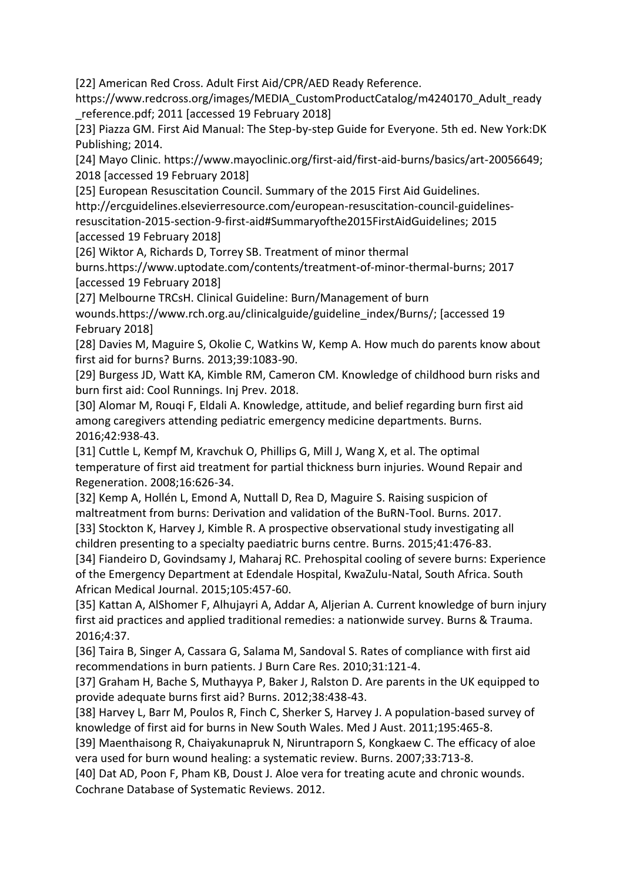[22] American Red Cross. Adult First Aid/CPR/AED Ready Reference.

https://www.redcross.org/images/MEDIA\_CustomProductCatalog/m4240170\_Adult\_ready \_reference.pdf; 2011 [accessed 19 February 2018]

[23] Piazza GM. First Aid Manual: The Step-by-step Guide for Everyone. 5th ed. New York:DK Publishing; 2014.

[24] Mayo Clinic. [https://www.mayoclinic.org/first-aid/first-aid-burns/basics/art-20056649;](https://www.mayoclinic.org/first-aid/first-aid-burns/basics/art-20056649) 2018 [accessed 19 February 2018]

[25] European Resuscitation Council. Summary of the 2015 First Aid Guidelines.

http://ercguidelines.elsevierresource.com/european-resuscitation-council-guidelinesresuscitation-2015-section-9-first-aid#Summaryofthe2015FirstAidGuidelines; 2015 [accessed 19 February 2018]

[26] Wiktor A, Richards D, Torrey SB. Treatment of minor thermal

burns.https://www.uptodate.com/contents/treatment-of-minor-thermal-burns; 2017 [accessed 19 February 2018]

[27] Melbourne TRCsH. Clinical Guideline: Burn/Management of burn wounds.https://www.rch.org.au/clinicalguide/guideline\_index/Burns/; [accessed 19 February 2018]

[28] Davies M, Maguire S, Okolie C, Watkins W, Kemp A. How much do parents know about first aid for burns? Burns. 2013;39:1083-90.

[29] Burgess JD, Watt KA, Kimble RM, Cameron CM. Knowledge of childhood burn risks and burn first aid: Cool Runnings. Inj Prev. 2018.

[30] Alomar M, Rouqi F, Eldali A. Knowledge, attitude, and belief regarding burn first aid among caregivers attending pediatric emergency medicine departments. Burns. 2016;42:938-43.

[31] Cuttle L, Kempf M, Kravchuk O, Phillips G, Mill J, Wang X, et al. The optimal temperature of first aid treatment for partial thickness burn injuries. Wound Repair and Regeneration. 2008;16:626-34.

[32] Kemp A, Hollén L, Emond A, Nuttall D, Rea D, Maguire S. Raising suspicion of maltreatment from burns: Derivation and validation of the BuRN-Tool. Burns. 2017. [33] Stockton K, Harvey J, Kimble R. A prospective observational study investigating all

children presenting to a specialty paediatric burns centre. Burns. 2015;41:476-83. [34] Fiandeiro D, Govindsamy J, Maharaj RC. Prehospital cooling of severe burns: Experience of the Emergency Department at Edendale Hospital, KwaZulu-Natal, South Africa. South

African Medical Journal. 2015;105:457-60.

[35] Kattan A, AlShomer F, Alhujayri A, Addar A, Aljerian A. Current knowledge of burn injury first aid practices and applied traditional remedies: a nationwide survey. Burns & Trauma. 2016;4:37.

[36] Taira B, Singer A, Cassara G, Salama M, Sandoval S. Rates of compliance with first aid recommendations in burn patients. J Burn Care Res. 2010;31:121-4.

[37] Graham H, Bache S, Muthayya P, Baker J, Ralston D. Are parents in the UK equipped to provide adequate burns first aid? Burns. 2012;38:438-43.

[38] Harvey L, Barr M, Poulos R, Finch C, Sherker S, Harvey J. A population-based survey of knowledge of first aid for burns in New South Wales. Med J Aust. 2011;195:465-8.

[39] Maenthaisong R, Chaiyakunapruk N, Niruntraporn S, Kongkaew C. The efficacy of aloe vera used for burn wound healing: a systematic review. Burns. 2007;33:713-8.

[40] Dat AD, Poon F, Pham KB, Doust J. Aloe vera for treating acute and chronic wounds. Cochrane Database of Systematic Reviews. 2012.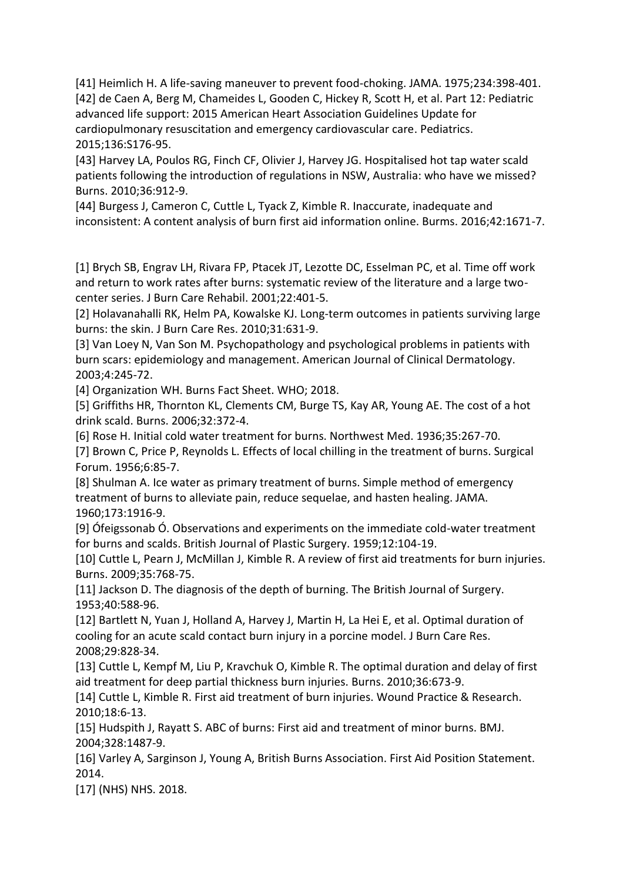[41] Heimlich H. A life-saving maneuver to prevent food-choking. JAMA. 1975;234:398-401. [42] de Caen A, Berg M, Chameides L, Gooden C, Hickey R, Scott H, et al. Part 12: Pediatric advanced life support: 2015 American Heart Association Guidelines Update for cardiopulmonary resuscitation and emergency cardiovascular care. Pediatrics. 2015;136:S176-95.

[43] Harvey LA, Poulos RG, Finch CF, Olivier J, Harvey JG. Hospitalised hot tap water scald patients following the introduction of regulations in NSW, Australia: who have we missed? Burns. 2010;36:912-9.

[44] Burgess J, Cameron C, Cuttle L, Tyack Z, Kimble R. Inaccurate, inadequate and inconsistent: A content analysis of burn first aid information online. Burms. 2016;42:1671-7.

[1] Brych SB, Engrav LH, Rivara FP, Ptacek JT, Lezotte DC, Esselman PC, et al. Time off work and return to work rates after burns: systematic review of the literature and a large twocenter series. J Burn Care Rehabil. 2001;22:401-5.

[2] Holavanahalli RK, Helm PA, Kowalske KJ. Long-term outcomes in patients surviving large burns: the skin. J Burn Care Res. 2010;31:631-9.

[3] Van Loey N, Van Son M. Psychopathology and psychological problems in patients with burn scars: epidemiology and management. American Journal of Clinical Dermatology. 2003;4:245-72.

[4] Organization WH. Burns Fact Sheet. WHO; 2018.

[5] Griffiths HR, Thornton KL, Clements CM, Burge TS, Kay AR, Young AE. The cost of a hot drink scald. Burns. 2006;32:372-4.

[6] Rose H. Initial cold water treatment for burns. Northwest Med. 1936;35:267-70.

[7] Brown C, Price P, Reynolds L. Effects of local chilling in the treatment of burns. Surgical Forum. 1956;6:85-7.

[8] Shulman A. Ice water as primary treatment of burns. Simple method of emergency treatment of burns to alleviate pain, reduce sequelae, and hasten healing. JAMA. 1960;173:1916-9.

[9] Ófeigssonab Ó. Observations and experiments on the immediate cold-water treatment for burns and scalds. British Journal of Plastic Surgery. 1959;12:104-19.

[10] Cuttle L, Pearn J, McMillan J, Kimble R. A review of first aid treatments for burn injuries. Burns. 2009;35:768-75.

[11] Jackson D. The diagnosis of the depth of burning. The British Journal of Surgery. 1953;40:588-96.

[12] Bartlett N, Yuan J, Holland A, Harvey J, Martin H, La Hei E, et al. Optimal duration of cooling for an acute scald contact burn injury in a porcine model. J Burn Care Res. 2008;29:828-34.

[13] Cuttle L, Kempf M, Liu P, Kravchuk O, Kimble R. The optimal duration and delay of first aid treatment for deep partial thickness burn injuries. Burns. 2010;36:673-9.

[14] Cuttle L, Kimble R. First aid treatment of burn injuries. Wound Practice & Research. 2010;18:6-13.

[15] Hudspith J, Rayatt S. ABC of burns: First aid and treatment of minor burns. BMJ. 2004;328:1487-9.

[16] Varley A, Sarginson J, Young A, British Burns Association. First Aid Position Statement. 2014.

[17] (NHS) NHS. 2018.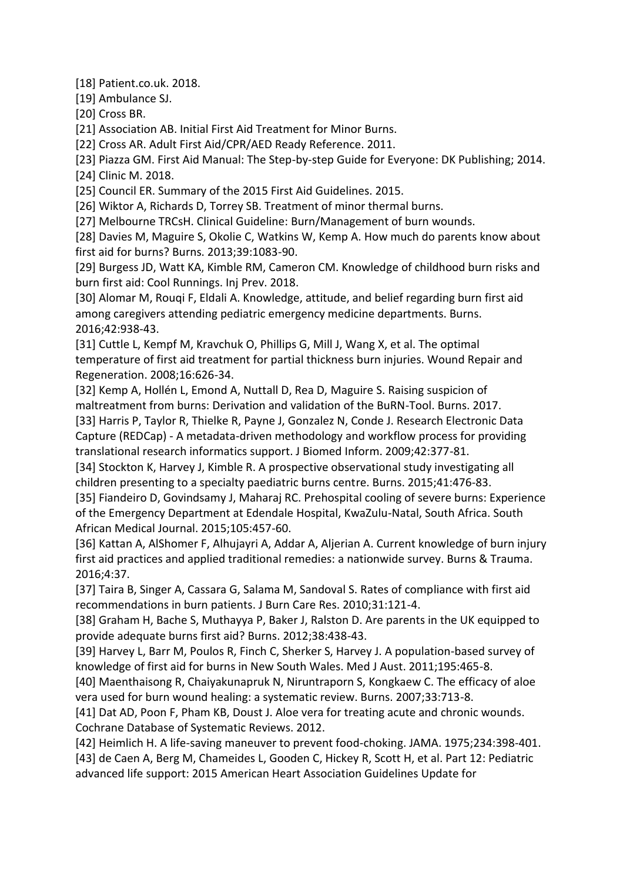[18] Patient.co.uk. 2018.

[19] Ambulance SJ.

[20] Cross BR.

[21] Association AB. Initial First Aid Treatment for Minor Burns.

[22] Cross AR. Adult First Aid/CPR/AED Ready Reference. 2011.

[23] Piazza GM. First Aid Manual: The Step-by-step Guide for Everyone: DK Publishing; 2014. [24] Clinic M. 2018.

[25] Council ER. Summary of the 2015 First Aid Guidelines. 2015.

[26] Wiktor A, Richards D, Torrey SB. Treatment of minor thermal burns.

[27] Melbourne TRCsH. Clinical Guideline: Burn/Management of burn wounds.

[28] Davies M, Maguire S, Okolie C, Watkins W, Kemp A. How much do parents know about first aid for burns? Burns. 2013;39:1083-90.

[29] Burgess JD, Watt KA, Kimble RM, Cameron CM. Knowledge of childhood burn risks and burn first aid: Cool Runnings. Inj Prev. 2018.

[30] Alomar M, Rouqi F, Eldali A. Knowledge, attitude, and belief regarding burn first aid among caregivers attending pediatric emergency medicine departments. Burns. 2016;42:938-43.

[31] Cuttle L, Kempf M, Kravchuk O, Phillips G, Mill J, Wang X, et al. The optimal temperature of first aid treatment for partial thickness burn injuries. Wound Repair and Regeneration. 2008;16:626-34.

[32] Kemp A, Hollén L, Emond A, Nuttall D, Rea D, Maguire S. Raising suspicion of maltreatment from burns: Derivation and validation of the BuRN-Tool. Burns. 2017.

[33] Harris P, Taylor R, Thielke R, Payne J, Gonzalez N, Conde J. Research Electronic Data Capture (REDCap) - A metadata-driven methodology and workflow process for providing translational research informatics support. J Biomed Inform. 2009;42:377-81.

[34] Stockton K, Harvey J, Kimble R. A prospective observational study investigating all children presenting to a specialty paediatric burns centre. Burns. 2015;41:476-83.

[35] Fiandeiro D, Govindsamy J, Maharaj RC. Prehospital cooling of severe burns: Experience of the Emergency Department at Edendale Hospital, KwaZulu-Natal, South Africa. South African Medical Journal. 2015;105:457-60.

[36] Kattan A, AlShomer F, Alhujayri A, Addar A, Aljerian A. Current knowledge of burn injury first aid practices and applied traditional remedies: a nationwide survey. Burns & Trauma. 2016;4:37.

[37] Taira B, Singer A, Cassara G, Salama M, Sandoval S. Rates of compliance with first aid recommendations in burn patients. J Burn Care Res. 2010;31:121-4.

[38] Graham H, Bache S, Muthayya P, Baker J, Ralston D. Are parents in the UK equipped to provide adequate burns first aid? Burns. 2012;38:438-43.

[39] Harvey L, Barr M, Poulos R, Finch C, Sherker S, Harvey J. A population-based survey of knowledge of first aid for burns in New South Wales. Med J Aust. 2011;195:465-8.

[40] Maenthaisong R, Chaiyakunapruk N, Niruntraporn S, Kongkaew C. The efficacy of aloe vera used for burn wound healing: a systematic review. Burns. 2007;33:713-8.

[41] Dat AD, Poon F, Pham KB, Doust J. Aloe vera for treating acute and chronic wounds. Cochrane Database of Systematic Reviews. 2012.

[42] Heimlich H. A life-saving maneuver to prevent food-choking. JAMA. 1975;234:398-401.

[43] de Caen A, Berg M, Chameides L, Gooden C, Hickey R, Scott H, et al. Part 12: Pediatric advanced life support: 2015 American Heart Association Guidelines Update for